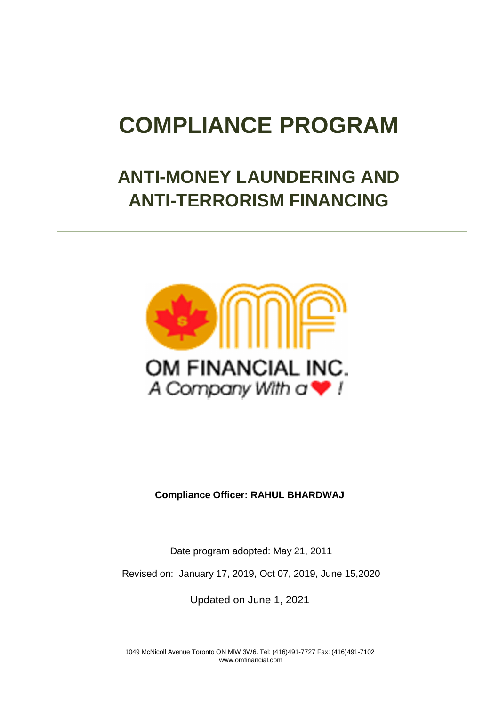# **COMPLIANCE PROGRAM**

## **ANTI-MONEY LAUNDERING AND ANTI-TERRORISM FINANCING**



**Compliance Officer: RAHUL BHARDWAJ** 

Date program adopted: May 21, 2011

Revised on: January 17, 2019, Oct 07, 2019, June 15,2020

Updated on June 1, 2021

1049 McNicoll Avenue Toronto ON MlW 3W6. Tel: (416)491-7727 Fax: (416)491-7102 www.omfinancial.com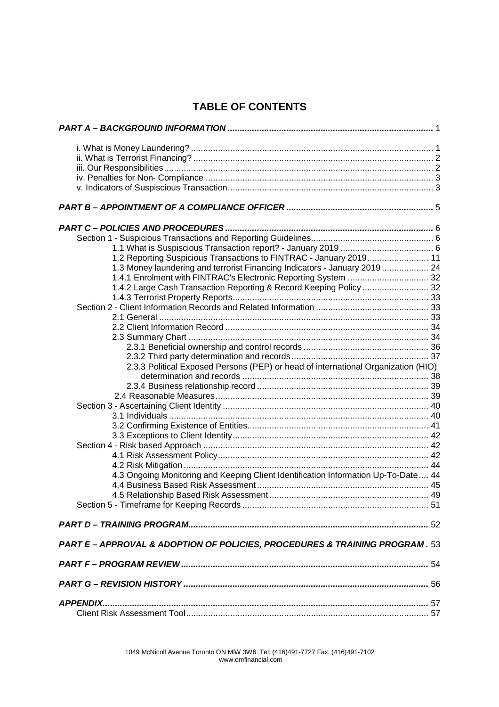## **TABLE OF CONTENTS**

| 1.2 Reporting Suspicious Transactions to FINTRAC - January 2019 11                 |  |
|------------------------------------------------------------------------------------|--|
| 1.3 Money laundering and terrorist Financing Indicators - January 2019  24         |  |
| 1.4.1 Enrolment with FINTRAC's Electronic Reporting System  32                     |  |
| 1.4.2 Large Cash Transaction Reporting & Record Keeping Policy 32                  |  |
|                                                                                    |  |
|                                                                                    |  |
|                                                                                    |  |
|                                                                                    |  |
|                                                                                    |  |
|                                                                                    |  |
|                                                                                    |  |
| 2.3.3 Political Exposed Persons (PEP) or head of international Organization (HIO)  |  |
|                                                                                    |  |
|                                                                                    |  |
|                                                                                    |  |
|                                                                                    |  |
|                                                                                    |  |
|                                                                                    |  |
|                                                                                    |  |
|                                                                                    |  |
|                                                                                    |  |
|                                                                                    |  |
| 4.3 Ongoing Monitoring and Keeping Client Identification Information Up-To-Date 44 |  |
|                                                                                    |  |
|                                                                                    |  |
|                                                                                    |  |
|                                                                                    |  |
| PART E - APPROVAL & ADOPTION OF POLICIES, PROCEDURES & TRAINING PROGRAM. 53        |  |
|                                                                                    |  |
|                                                                                    |  |
| <b>APPENDIX</b>                                                                    |  |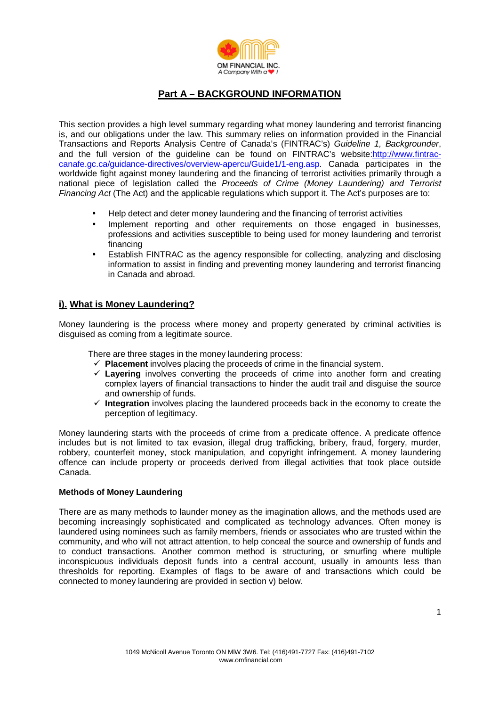

## **Part A – BACKGROUND INFORMATION**

This section provides a high level summary regarding what money laundering and terrorist financing is, and our obligations under the law. This summary relies on information provided in the Financial Transactions and Reports Analysis Centre of Canada's (FINTRAC's) Guideline 1, Backgrounder, and the full version of the guideline can be found on FINTRAC's website:http://www.fintraccanafe.gc.ca/guidance-directives/overview-apercu/Guide1/1-eng.asp. Canada participates in the worldwide fight against money laundering and the financing of terrorist activities primarily through a national piece of legislation called the Proceeds of Crime (Money Laundering) and Terrorist Financing Act (The Act) and the applicable regulations which support it. The Act's purposes are to:

- Help detect and deter money laundering and the financing of terrorist activities
- Implement reporting and other requirements on those engaged in businesses, professions and activities susceptible to being used for money laundering and terrorist financing
- Establish FINTRAC as the agency responsible for collecting, analyzing and disclosing information to assist in finding and preventing money laundering and terrorist financing in Canada and abroad.

## **i). What is Money Laundering?**

Money laundering is the process where money and property generated by criminal activities is disguised as coming from a legitimate source.

There are three stages in the money laundering process:

- **Placement** involves placing the proceeds of crime in the financial system.
- **Layering** involves converting the proceeds of crime into another form and creating complex layers of financial transactions to hinder the audit trail and disguise the source and ownership of funds.
- **Integration** involves placing the laundered proceeds back in the economy to create the perception of legitimacy.

Money laundering starts with the proceeds of crime from a predicate offence. A predicate offence includes but is not limited to tax evasion, illegal drug trafficking, bribery, fraud, forgery, murder, robbery, counterfeit money, stock manipulation, and copyright infringement. A money laundering offence can include property or proceeds derived from illegal activities that took place outside Canada.

#### **Methods of Money Laundering**

There are as many methods to launder money as the imagination allows, and the methods used are becoming increasingly sophisticated and complicated as technology advances. Often money is laundered using nominees such as family members, friends or associates who are trusted within the community, and who will not attract attention, to help conceal the source and ownership of funds and to conduct transactions. Another common method is structuring, or smurfing where multiple inconspicuous individuals deposit funds into a central account, usually in amounts less than thresholds for reporting. Examples of flags to be aware of and transactions which could be connected to money laundering are provided in section v) below.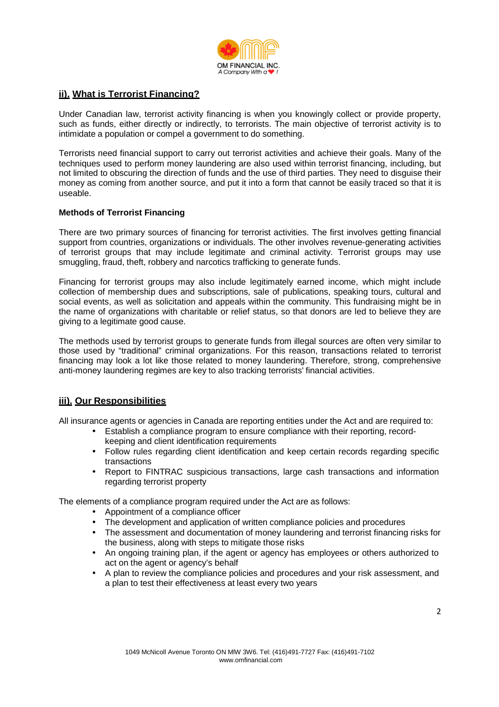

## **ii). What is Terrorist Financing?**

Under Canadian law, terrorist activity financing is when you knowingly collect or provide property, such as funds, either directly or indirectly, to terrorists. The main objective of terrorist activity is to intimidate a population or compel a government to do something.

Terrorists need financial support to carry out terrorist activities and achieve their goals. Many of the techniques used to perform money laundering are also used within terrorist financing, including, but not limited to obscuring the direction of funds and the use of third parties. They need to disguise their money as coming from another source, and put it into a form that cannot be easily traced so that it is useable.

#### **Methods of Terrorist Financing**

There are two primary sources of financing for terrorist activities. The first involves getting financial support from countries, organizations or individuals. The other involves revenue-generating activities of terrorist groups that may include legitimate and criminal activity. Terrorist groups may use smuggling, fraud, theft, robbery and narcotics trafficking to generate funds.

Financing for terrorist groups may also include legitimately earned income, which might include collection of membership dues and subscriptions, sale of publications, speaking tours, cultural and social events, as well as solicitation and appeals within the community. This fundraising might be in the name of organizations with charitable or relief status, so that donors are led to believe they are giving to a legitimate good cause.

The methods used by terrorist groups to generate funds from illegal sources are often very similar to those used by "traditional" criminal organizations. For this reason, transactions related to terrorist financing may look a lot like those related to money laundering. Therefore, strong, comprehensive anti-money laundering regimes are key to also tracking terrorists' financial activities.

## **iii). Our Responsibilities**

All insurance agents or agencies in Canada are reporting entities under the Act and are required to:

- Establish a compliance program to ensure compliance with their reporting, recordkeeping and client identification requirements
- Follow rules regarding client identification and keep certain records regarding specific transactions
- Report to FINTRAC suspicious transactions, large cash transactions and information regarding terrorist property

The elements of a compliance program required under the Act are as follows:

- Appointment of a compliance officer
- The development and application of written compliance policies and procedures
- The assessment and documentation of money laundering and terrorist financing risks for the business, along with steps to mitigate those risks
- An ongoing training plan, if the agent or agency has employees or others authorized to act on the agent or agency's behalf
- A plan to review the compliance policies and procedures and your risk assessment, and a plan to test their effectiveness at least every two years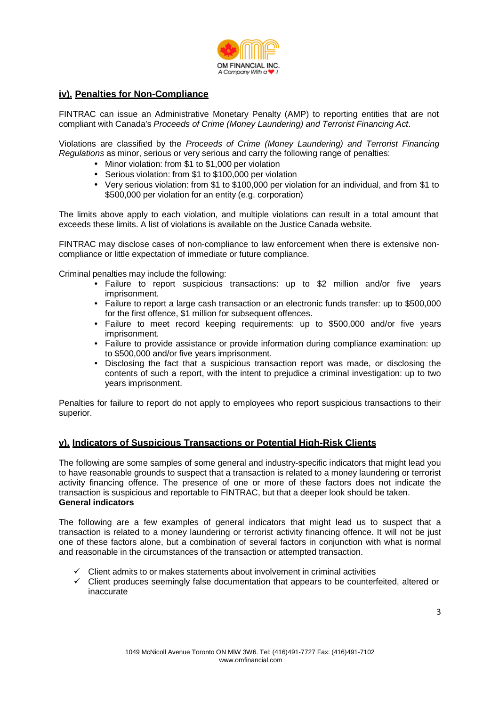

## **iv). Penalties for Non-Compliance**

FINTRAC can issue an Administrative Monetary Penalty (AMP) to reporting entities that are not compliant with Canada's Proceeds of Crime (Money Laundering) and Terrorist Financing Act.

Violations are classified by the Proceeds of Crime (Money Laundering) and Terrorist Financing Regulations as minor, serious or very serious and carry the following range of penalties:

- Minor violation: from \$1 to \$1,000 per violation
- Serious violation: from \$1 to \$100,000 per violation
- Very serious violation: from \$1 to \$100,000 per violation for an individual, and from \$1 to \$500,000 per violation for an entity (e.g. corporation)

The limits above apply to each violation, and multiple violations can result in a total amount that exceeds these limits. A list of violations is available on the Justice Canada website.

FINTRAC may disclose cases of non-compliance to law enforcement when there is extensive noncompliance or little expectation of immediate or future compliance.

Criminal penalties may include the following:

- Failure to report suspicious transactions: up to \$2 million and/or five years imprisonment.
- Failure to report a large cash transaction or an electronic funds transfer: up to \$500,000 for the first offence, \$1 million for subsequent offences.
- Failure to meet record keeping requirements: up to \$500,000 and/or five years imprisonment.
- Failure to provide assistance or provide information during compliance examination: up to \$500,000 and/or five years imprisonment.
- Disclosing the fact that a suspicious transaction report was made, or disclosing the contents of such a report, with the intent to prejudice a criminal investigation: up to two years imprisonment.

Penalties for failure to report do not apply to employees who report suspicious transactions to their superior.

#### **v). Indicators of Suspicious Transactions or Potential High-Risk Clients**

The following are some samples of some general and industry-specific indicators that might lead you to have reasonable grounds to suspect that a transaction is related to a money laundering or terrorist activity financing offence. The presence of one or more of these factors does not indicate the transaction is suspicious and reportable to FINTRAC, but that a deeper look should be taken. **General indicators** 

The following are a few examples of general indicators that might lead us to suspect that a transaction is related to a money laundering or terrorist activity financing offence. It will not be just one of these factors alone, but a combination of several factors in conjunction with what is normal and reasonable in the circumstances of the transaction or attempted transaction.

- $\checkmark$  Client admits to or makes statements about involvement in criminal activities
- $\checkmark$  Client produces seemingly false documentation that appears to be counterfeited, altered or inaccurate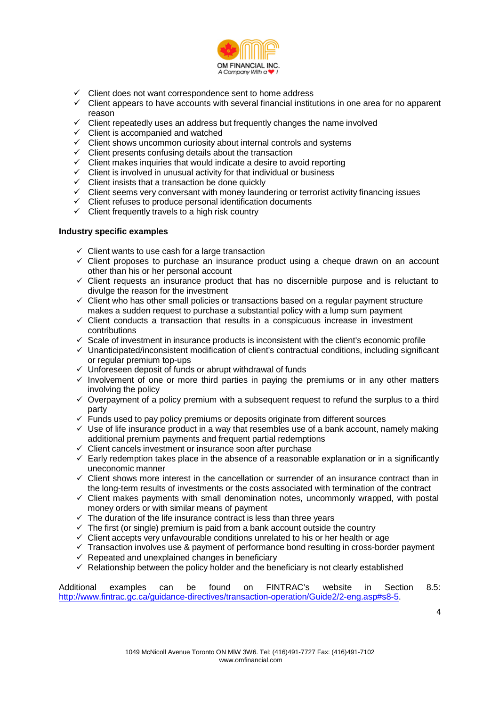

- $\checkmark$  Client does not want correspondence sent to home address
- $\checkmark$  Client appears to have accounts with several financial institutions in one area for no apparent reason
- $\checkmark$  Client repeatedly uses an address but frequently changes the name involved
- $\checkmark$  Client is accompanied and watched
- $\checkmark$  Client shows uncommon curiosity about internal controls and systems
- $\checkmark$  Client presents confusing details about the transaction
- $\checkmark$  Client makes inquiries that would indicate a desire to avoid reporting
- $\checkmark$  Client is involved in unusual activity for that individual or business
- $\checkmark$  Client insists that a transaction be done quickly
- $\checkmark$  Client seems very conversant with money laundering or terrorist activity financing issues
- $\checkmark$  Client refuses to produce personal identification documents
- $\checkmark$  Client frequently travels to a high risk country

#### **Industry specific examples**

- $\checkmark$  Client wants to use cash for a large transaction
- $\checkmark$  Client proposes to purchase an insurance product using a cheque drawn on an account other than his or her personal account
- $\checkmark$  Client requests an insurance product that has no discernible purpose and is reluctant to divulge the reason for the investment
- $\checkmark$  Client who has other small policies or transactions based on a regular payment structure makes a sudden request to purchase a substantial policy with a lump sum payment
- $\checkmark$  Client conducts a transaction that results in a conspicuous increase in investment contributions
- $\checkmark$  Scale of investment in insurance products is inconsistent with the client's economic profile
- $\checkmark$  Unanticipated/inconsistent modification of client's contractual conditions, including significant or regular premium top-ups
- $\checkmark$  Unforeseen deposit of funds or abrupt withdrawal of funds
- $\checkmark$  Involvement of one or more third parties in paying the premiums or in any other matters involving the policy
- $\checkmark$  Overpayment of a policy premium with a subsequent request to refund the surplus to a third party
- $\checkmark$  Funds used to pay policy premiums or deposits originate from different sources
- $\checkmark$  Use of life insurance product in a way that resembles use of a bank account, namely making additional premium payments and frequent partial redemptions
- $\checkmark$  Client cancels investment or insurance soon after purchase
- $\checkmark$  Early redemption takes place in the absence of a reasonable explanation or in a significantly uneconomic manner
- $\checkmark$  Client shows more interest in the cancellation or surrender of an insurance contract than in the long-term results of investments or the costs associated with termination of the contract
- $\checkmark$  Client makes payments with small denomination notes, uncommonly wrapped, with postal money orders or with similar means of payment
- $\checkmark$  The duration of the life insurance contract is less than three years
- $\checkmark$  The first (or single) premium is paid from a bank account outside the country
- $\checkmark$  Client accepts very unfavourable conditions unrelated to his or her health or age
- $\checkmark$  Transaction involves use & payment of performance bond resulting in cross-border payment
- $\checkmark$  Repeated and unexplained changes in beneficiary
- $\checkmark$  Relationship between the policy holder and the beneficiary is not clearly established

Additional examples can be found on FINTRAC's website in Section 8.5: http://www.fintrac.gc.ca/guidance-directives/transaction-operation/Guide2/2-eng.asp#s8-5.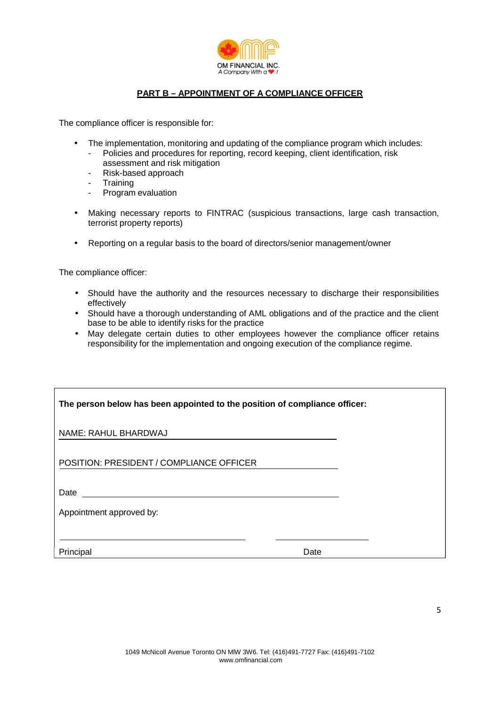

## **PART B – APPOINTMENT OF A COMPLIANCE OFFICER**

The compliance officer is responsible for:

- The implementation, monitoring and updating of the compliance program which includes:
	- Policies and procedures for reporting, record keeping, client identification, risk assessment and risk mitigation
	- Risk-based approach
	- Training
	- Program evaluation
- Making necessary reports to FINTRAC (suspicious transactions, large cash transaction, terrorist property reports)
- Reporting on a regular basis to the board of directors/senior management/owner

The compliance officer:

- Should have the authority and the resources necessary to discharge their responsibilities effectively
- Should have a thorough understanding of AML obligations and of the practice and the client base to be able to identify risks for the practice
- May delegate certain duties to other employees however the compliance officer retains responsibility for the implementation and ongoing execution of the compliance regime.

| The person below has been appointed to the position of compliance officer: |      |
|----------------------------------------------------------------------------|------|
| NAME: RAHUL BHARDWAJ                                                       |      |
| POSITION: PRESIDENT / COMPLIANCE OFFICER                                   |      |
| Date                                                                       |      |
| Appointment approved by:                                                   |      |
| Principal                                                                  | Date |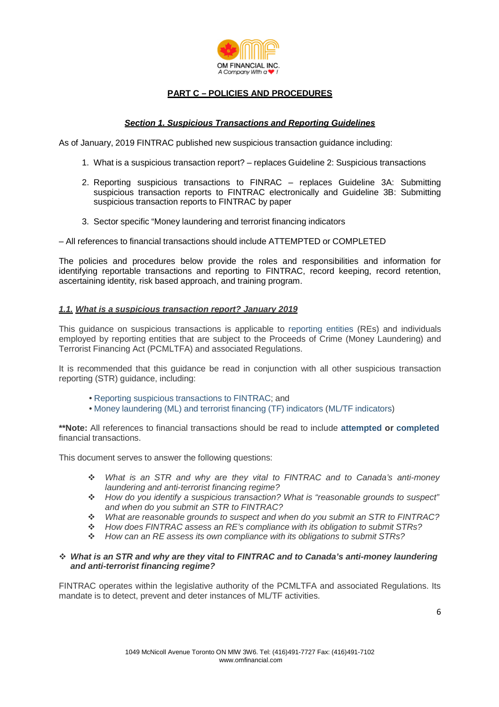

## **PART C – POLICIES AND PROCEDURES**

#### **Section 1. Suspicious Transactions and Reporting Guidelines**

As of January, 2019 FINTRAC published new suspicious transaction guidance including:

- 1. What is a suspicious transaction report? replaces Guideline 2: Suspicious transactions
- 2. Reporting suspicious transactions to FINRAC replaces Guideline 3A: Submitting suspicious transaction reports to FINTRAC electronically and Guideline 3B: Submitting suspicious transaction reports to FINTRAC by paper
- 3. Sector specific "Money laundering and terrorist financing indicators

– All references to financial transactions should include ATTEMPTED or COMPLETED

The policies and procedures below provide the roles and responsibilities and information for identifying reportable transactions and reporting to FINTRAC, record keeping, record retention, ascertaining identity, risk based approach, and training program.

#### **1.1. What is a suspicious transaction report? January 2019**

This guidance on suspicious transactions is applicable to reporting entities (REs) and individuals employed by reporting entities that are subject to the Proceeds of Crime (Money Laundering) and Terrorist Financing Act (PCMLTFA) and associated Regulations.

It is recommended that this guidance be read in conjunction with all other suspicious transaction reporting (STR) guidance, including:

- Reporting suspicious transactions to FINTRAC; and
- Money laundering (ML) and terrorist financing (TF) indicators (ML/TF indicators)

**\*\*Note:** All references to financial transactions should be read to include **attempted or completed** financial transactions.

This document serves to answer the following questions:

- What is an STR and why are they vital to FINTRAC and to Canada's anti-money laundering and anti-terrorist financing regime?
- \* How do you identify a suspicious transaction? What is "reasonable grounds to suspect" and when do you submit an STR to FINTRAC?
- What are reasonable grounds to suspect and when do you submit an STR to FINTRAC?
- How does FINTRAC assess an RE's compliance with its obligation to submit STRs?
- How can an RE assess its own compliance with its obligations to submit STRs?

#### **What is an STR and why are they vital to FINTRAC and to Canada's anti-money laundering and anti-terrorist financing regime?**

FINTRAC operates within the legislative authority of the PCMLTFA and associated Regulations. Its mandate is to detect, prevent and deter instances of ML/TF activities.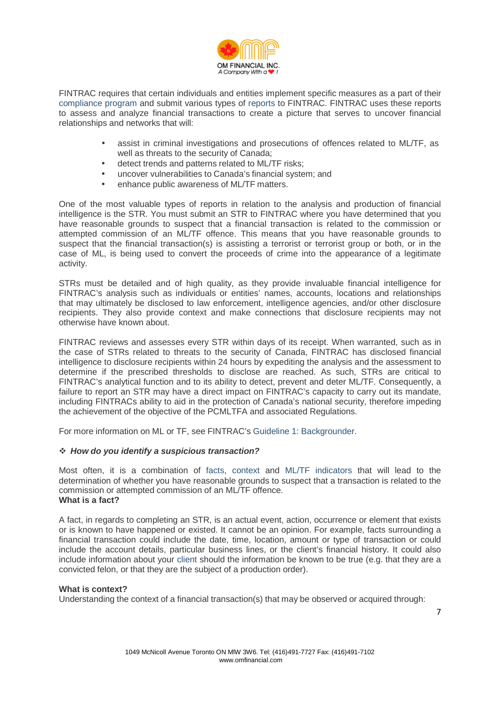

FINTRAC requires that certain individuals and entities implement specific measures as a part of their compliance program and submit various types of reports to FINTRAC. FINTRAC uses these reports to assess and analyze financial transactions to create a picture that serves to uncover financial relationships and networks that will:

- assist in criminal investigations and prosecutions of offences related to ML/TF, as well as threats to the security of Canada;
- detect trends and patterns related to ML/TF risks;
- uncover vulnerabilities to Canada's financial system; and
- enhance public awareness of ML/TF matters.

One of the most valuable types of reports in relation to the analysis and production of financial intelligence is the STR. You must submit an STR to FINTRAC where you have determined that you have reasonable grounds to suspect that a financial transaction is related to the commission or attempted commission of an ML/TF offence. This means that you have reasonable grounds to suspect that the financial transaction(s) is assisting a terrorist or terrorist group or both, or in the case of ML, is being used to convert the proceeds of crime into the appearance of a legitimate activity.

STRs must be detailed and of high quality, as they provide invaluable financial intelligence for FINTRAC's analysis such as individuals or entities' names, accounts, locations and relationships that may ultimately be disclosed to law enforcement, intelligence agencies, and/or other disclosure recipients. They also provide context and make connections that disclosure recipients may not otherwise have known about.

FINTRAC reviews and assesses every STR within days of its receipt. When warranted, such as in the case of STRs related to threats to the security of Canada, FINTRAC has disclosed financial intelligence to disclosure recipients within 24 hours by expediting the analysis and the assessment to determine if the prescribed thresholds to disclose are reached. As such, STRs are critical to FINTRAC's analytical function and to its ability to detect, prevent and deter ML/TF. Consequently, a failure to report an STR may have a direct impact on FINTRAC's capacity to carry out its mandate, including FINTRACs ability to aid in the protection of Canada's national security, therefore impeding the achievement of the objective of the PCMLTFA and associated Regulations.

For more information on ML or TF, see FINTRAC's Guideline 1: Backgrounder.

#### **How do you identify a suspicious transaction?**

Most often, it is a combination of facts, context and ML/TF indicators that will lead to the determination of whether you have reasonable grounds to suspect that a transaction is related to the commission or attempted commission of an ML/TF offence. **What is a fact?**

A fact, in regards to completing an STR, is an actual event, action, occurrence or element that exists or is known to have happened or existed. It cannot be an opinion. For example, facts surrounding a financial transaction could include the date, time, location, amount or type of transaction or could include the account details, particular business lines, or the client's financial history. It could also include information about your client should the information be known to be true (e.g. that they are a convicted felon, or that they are the subject of a production order).

#### **What is context?**

Understanding the context of a financial transaction(s) that may be observed or acquired through: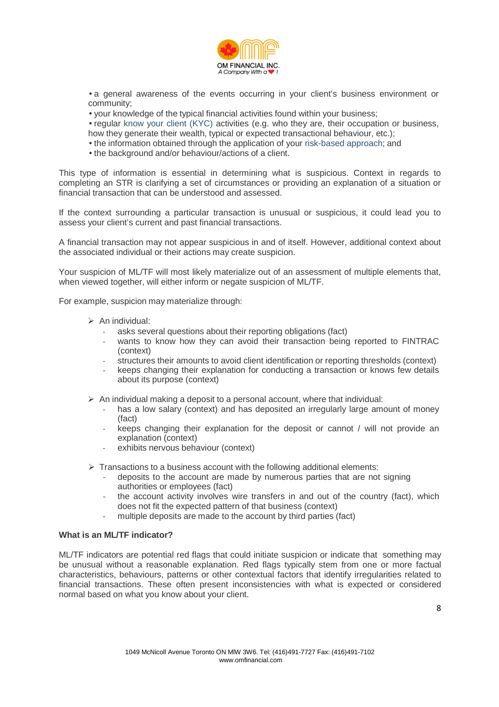

• a general awareness of the events occurring in your client's business environment or community;

- your knowledge of the typical financial activities found within your business;
- regular know your client (KYC) activities (e.g. who they are, their occupation or business, how they generate their wealth, typical or expected transactional behaviour, etc.);
- the information obtained through the application of your risk-based approach; and
- the background and/or behaviour/actions of a client.

This type of information is essential in determining what is suspicious. Context in regards to completing an STR is clarifying a set of circumstances or providing an explanation of a situation or financial transaction that can be understood and assessed.

If the context surrounding a particular transaction is unusual or suspicious, it could lead you to assess your client's current and past financial transactions.

A financial transaction may not appear suspicious in and of itself. However, additional context about the associated individual or their actions may create suspicion.

Your suspicion of ML/TF will most likely materialize out of an assessment of multiple elements that, when viewed together, will either inform or negate suspicion of ML/TF.

For example, suspicion may materialize through:

- $\triangleright$  An individual:
	- asks several questions about their reporting obligations (fact)
	- wants to know how they can avoid their transaction being reported to FINTRAC (context)
	- structures their amounts to avoid client identification or reporting thresholds (context)
	- keeps changing their explanation for conducting a transaction or knows few details about its purpose (context)
- $\triangleright$  An individual making a deposit to a personal account, where that individual:
	- has a low salary (context) and has deposited an irregularly large amount of money (fact)
	- keeps changing their explanation for the deposit or cannot / will not provide an explanation (context)
	- exhibits nervous behaviour (context)

 $\triangleright$  Transactions to a business account with the following additional elements:

- deposits to the account are made by numerous parties that are not signing authorities or employees (fact)
- the account activity involves wire transfers in and out of the country (fact), which does not fit the expected pattern of that business (context)
- multiple deposits are made to the account by third parties (fact)

#### **What is an ML/TF indicator?**

ML/TF indicators are potential red flags that could initiate suspicion or indicate that something may be unusual without a reasonable explanation. Red flags typically stem from one or more factual characteristics, behaviours, patterns or other contextual factors that identify irregularities related to financial transactions. These often present inconsistencies with what is expected or considered normal based on what you know about your client.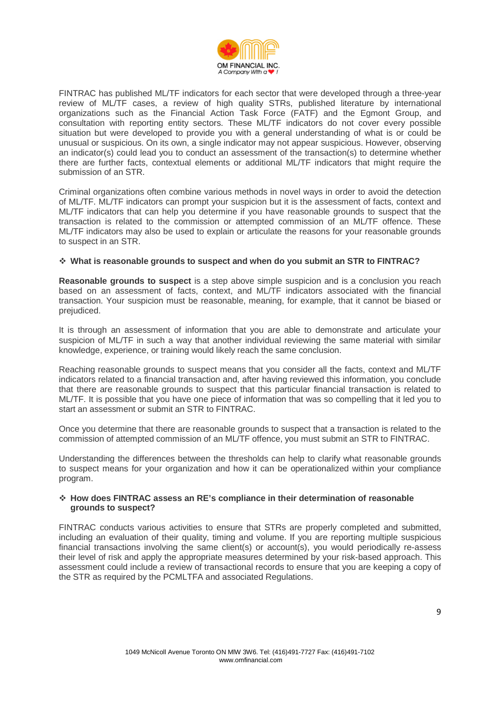

FINTRAC has published ML/TF indicators for each sector that were developed through a three-year review of ML/TF cases, a review of high quality STRs, published literature by international organizations such as the Financial Action Task Force (FATF) and the Egmont Group, and consultation with reporting entity sectors. These ML/TF indicators do not cover every possible situation but were developed to provide you with a general understanding of what is or could be unusual or suspicious. On its own, a single indicator may not appear suspicious. However, observing an indicator(s) could lead you to conduct an assessment of the transaction(s) to determine whether there are further facts, contextual elements or additional ML/TF indicators that might require the submission of an STR.

Criminal organizations often combine various methods in novel ways in order to avoid the detection of ML/TF. ML/TF indicators can prompt your suspicion but it is the assessment of facts, context and ML/TF indicators that can help you determine if you have reasonable grounds to suspect that the transaction is related to the commission or attempted commission of an ML/TF offence. These ML/TF indicators may also be used to explain or articulate the reasons for your reasonable grounds to suspect in an STR.

#### **What is reasonable grounds to suspect and when do you submit an STR to FINTRAC?**

**Reasonable grounds to suspect** is a step above simple suspicion and is a conclusion you reach based on an assessment of facts, context, and ML/TF indicators associated with the financial transaction. Your suspicion must be reasonable, meaning, for example, that it cannot be biased or prejudiced.

It is through an assessment of information that you are able to demonstrate and articulate your suspicion of ML/TF in such a way that another individual reviewing the same material with similar knowledge, experience, or training would likely reach the same conclusion.

Reaching reasonable grounds to suspect means that you consider all the facts, context and ML/TF indicators related to a financial transaction and, after having reviewed this information, you conclude that there are reasonable grounds to suspect that this particular financial transaction is related to ML/TF. It is possible that you have one piece of information that was so compelling that it led you to start an assessment or submit an STR to FINTRAC.

Once you determine that there are reasonable grounds to suspect that a transaction is related to the commission of attempted commission of an ML/TF offence, you must submit an STR to FINTRAC.

Understanding the differences between the thresholds can help to clarify what reasonable grounds to suspect means for your organization and how it can be operationalized within your compliance program.

#### **How does FINTRAC assess an RE's compliance in their determination of reasonable grounds to suspect?**

FINTRAC conducts various activities to ensure that STRs are properly completed and submitted, including an evaluation of their quality, timing and volume. If you are reporting multiple suspicious financial transactions involving the same client(s) or account(s), you would periodically re-assess their level of risk and apply the appropriate measures determined by your risk-based approach. This assessment could include a review of transactional records to ensure that you are keeping a copy of the STR as required by the PCMLTFA and associated Regulations.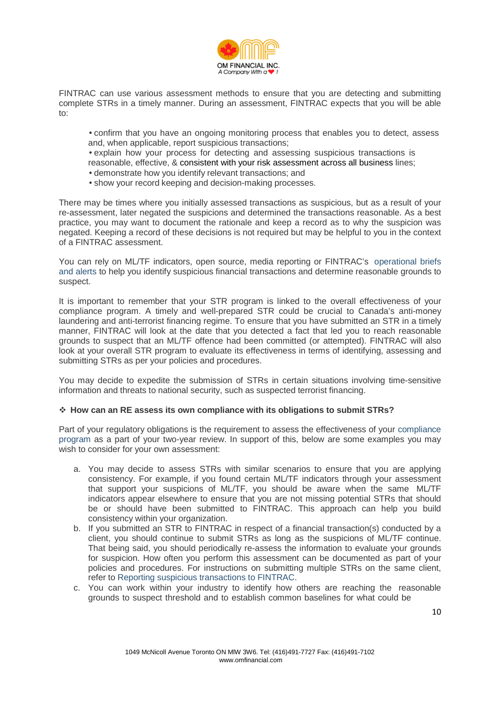

FINTRAC can use various assessment methods to ensure that you are detecting and submitting complete STRs in a timely manner. During an assessment, FINTRAC expects that you will be able to:

- confirm that you have an ongoing monitoring process that enables you to detect, assess and, when applicable, report suspicious transactions;
- explain how your process for detecting and assessing suspicious transactions is
- reasonable, effective, & consistent with your risk assessment across all business lines;
- demonstrate how you identify relevant transactions; and
- show your record keeping and decision-making processes.

There may be times where you initially assessed transactions as suspicious, but as a result of your re-assessment, later negated the suspicions and determined the transactions reasonable. As a best practice, you may want to document the rationale and keep a record as to why the suspicion was negated. Keeping a record of these decisions is not required but may be helpful to you in the context of a FINTRAC assessment.

You can rely on ML/TF indicators, open source, media reporting or FINTRAC's operational briefs and alerts to help you identify suspicious financial transactions and determine reasonable grounds to suspect.

It is important to remember that your STR program is linked to the overall effectiveness of your compliance program. A timely and well-prepared STR could be crucial to Canada's anti-monev laundering and anti-terrorist financing regime. To ensure that you have submitted an STR in a timely manner, FINTRAC will look at the date that you detected a fact that led you to reach reasonable grounds to suspect that an ML/TF offence had been committed (or attempted). FINTRAC will also look at your overall STR program to evaluate its effectiveness in terms of identifying, assessing and submitting STRs as per your policies and procedures.

You may decide to expedite the submission of STRs in certain situations involving time-sensitive information and threats to national security, such as suspected terrorist financing.

#### **How can an RE assess its own compliance with its obligations to submit STRs?**

Part of your regulatory obligations is the requirement to assess the effectiveness of your compliance program as a part of your two-year review. In support of this, below are some examples you may wish to consider for your own assessment:

- a. You may decide to assess STRs with similar scenarios to ensure that you are applying consistency. For example, if you found certain ML/TF indicators through your assessment that support your suspicions of ML/TF, you should be aware when the same ML/TF indicators appear elsewhere to ensure that you are not missing potential STRs that should be or should have been submitted to FINTRAC. This approach can help you build consistency within your organization.
- b. If you submitted an STR to FINTRAC in respect of a financial transaction(s) conducted by a client, you should continue to submit STRs as long as the suspicions of ML/TF continue. That being said, you should periodically re-assess the information to evaluate your grounds for suspicion. How often you perform this assessment can be documented as part of your policies and procedures. For instructions on submitting multiple STRs on the same client, refer to Reporting suspicious transactions to FINTRAC.
- c. You can work within your industry to identify how others are reaching the reasonable grounds to suspect threshold and to establish common baselines for what could be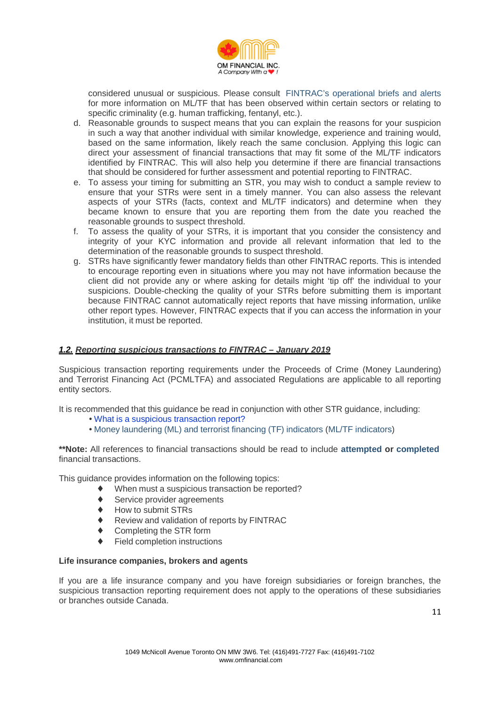

considered unusual or suspicious. Please consult FINTRAC's operational briefs and alerts for more information on ML/TF that has been observed within certain sectors or relating to specific criminality (e.g. human trafficking, fentanyl, etc.).

- d. Reasonable grounds to suspect means that you can explain the reasons for your suspicion in such a way that another individual with similar knowledge, experience and training would, based on the same information, likely reach the same conclusion. Applying this logic can direct your assessment of financial transactions that may fit some of the ML/TF indicators identified by FINTRAC. This will also help you determine if there are financial transactions that should be considered for further assessment and potential reporting to FINTRAC.
- e. To assess your timing for submitting an STR, you may wish to conduct a sample review to ensure that your STRs were sent in a timely manner. You can also assess the relevant aspects of your STRs (facts, context and ML/TF indicators) and determine when they became known to ensure that you are reporting them from the date you reached the reasonable grounds to suspect threshold.
- f. To assess the quality of your STRs, it is important that you consider the consistency and integrity of your KYC information and provide all relevant information that led to the determination of the reasonable grounds to suspect threshold.
- g. STRs have significantly fewer mandatory fields than other FINTRAC reports. This is intended to encourage reporting even in situations where you may not have information because the client did not provide any or where asking for details might 'tip off' the individual to your suspicions. Double-checking the quality of your STRs before submitting them is important because FINTRAC cannot automatically reject reports that have missing information, unlike other report types. However, FINTRAC expects that if you can access the information in your institution, it must be reported.

#### **1.2. Reporting suspicious transactions to FINTRAC – January 2019**

Suspicious transaction reporting requirements under the Proceeds of Crime (Money Laundering) and Terrorist Financing Act (PCMLTFA) and associated Regulations are applicable to all reporting entity sectors.

It is recommended that this guidance be read in conjunction with other STR guidance, including:

- What is a suspicious transaction report?
- Money laundering (ML) and terrorist financing (TF) indicators (ML/TF indicators)

**\*\*Note:** All references to financial transactions should be read to include **attempted or completed** financial transactions.

This guidance provides information on the following topics:

- ♦ When must a suspicious transaction be reported?
- ♦ Service provider agreements
- ♦ How to submit STRs
- ♦ Review and validation of reports by FINTRAC
- ♦ Completing the STR form
- Field completion instructions

#### **Life insurance companies, brokers and agents**

If you are a life insurance company and you have foreign subsidiaries or foreign branches, the suspicious transaction reporting requirement does not apply to the operations of these subsidiaries or branches outside Canada.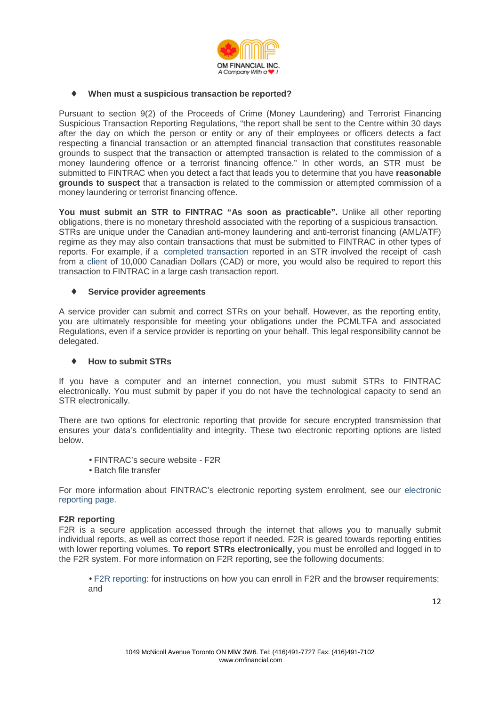

#### ♦ **When must a suspicious transaction be reported?**

Pursuant to section 9(2) of the Proceeds of Crime (Money Laundering) and Terrorist Financing Suspicious Transaction Reporting Regulations, "the report shall be sent to the Centre within 30 days after the day on which the person or entity or any of their employees or officers detects a fact respecting a financial transaction or an attempted financial transaction that constitutes reasonable grounds to suspect that the transaction or attempted transaction is related to the commission of a money laundering offence or a terrorist financing offence." In other words, an STR must be submitted to FINTRAC when you detect a fact that leads you to determine that you have **reasonable grounds to suspect** that a transaction is related to the commission or attempted commission of a money laundering or terrorist financing offence.

You must submit an STR to FINTRAC "As soon as practicable". Unlike all other reporting obligations, there is no monetary threshold associated with the reporting of a suspicious transaction. STRs are unique under the Canadian anti-money laundering and anti-terrorist financing (AML/ATF) regime as they may also contain transactions that must be submitted to FINTRAC in other types of reports. For example, if a completed transaction reported in an STR involved the receipt of cash from a client of 10,000 Canadian Dollars (CAD) or more, you would also be required to report this transaction to FINTRAC in a large cash transaction report.

#### ♦ **Service provider agreements**

A service provider can submit and correct STRs on your behalf. However, as the reporting entity, you are ultimately responsible for meeting your obligations under the PCMLTFA and associated Regulations, even if a service provider is reporting on your behalf. This legal responsibility cannot be delegated.

#### ♦ **How to submit STRs**

If you have a computer and an internet connection, you must submit STRs to FINTRAC electronically. You must submit by paper if you do not have the technological capacity to send an STR electronically.

There are two options for electronic reporting that provide for secure encrypted transmission that ensures your data's confidentiality and integrity. These two electronic reporting options are listed below.

- FINTRAC's secure website F2R
- Batch file transfer

For more information about FINTRAC's electronic reporting system enrolment, see our electronic reporting page.

#### **F2R reporting**

F2R is a secure application accessed through the internet that allows you to manually submit individual reports, as well as correct those report if needed. F2R is geared towards reporting entities with lower reporting volumes. **To report STRs electronically**, you must be enrolled and logged in to the F2R system. For more information on F2R reporting, see the following documents:

• F2R reporting: for instructions on how you can enroll in F2R and the browser requirements; and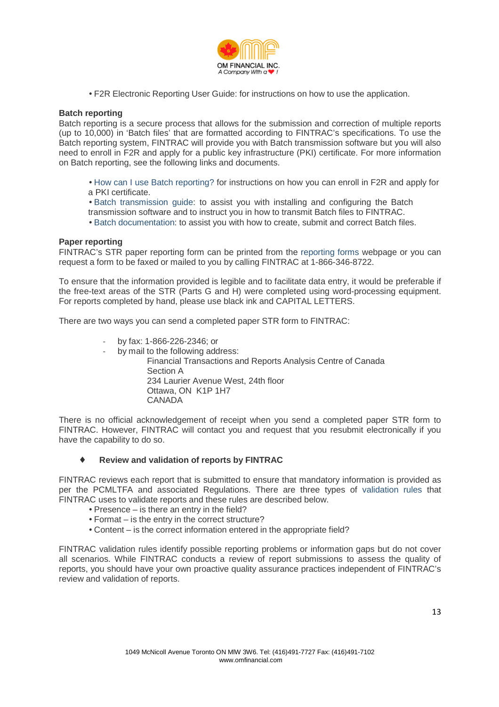

• F2R Electronic Reporting User Guide: for instructions on how to use the application.

#### **Batch reporting**

Batch reporting is a secure process that allows for the submission and correction of multiple reports (up to 10,000) in 'Batch files' that are formatted according to FINTRAC's specifications. To use the Batch reporting system, FINTRAC will provide you with Batch transmission software but you will also need to enroll in F2R and apply for a public key infrastructure (PKI) certificate. For more information on Batch reporting, see the following links and documents.

- How can I use Batch reporting? for instructions on how you can enroll in F2R and apply for a PKI certificate.
- Batch transmission guide: to assist you with installing and configuring the Batch transmission software and to instruct you in how to transmit Batch files to FINTRAC.
- Batch documentation: to assist you with how to create, submit and correct Batch files.

#### **Paper reporting**

FINTRAC's STR paper reporting form can be printed from the reporting forms webpage or you can request a form to be faxed or mailed to you by calling FINTRAC at 1-866-346-8722.

To ensure that the information provided is legible and to facilitate data entry, it would be preferable if the free-text areas of the STR (Parts G and H) were completed using word-processing equipment. For reports completed by hand, please use black ink and CAPITAL LETTERS.

There are two ways you can send a completed paper STR form to FINTRAC:

- by fax: 1-866-226-2346; or
- by mail to the following address:

Financial Transactions and Reports Analysis Centre of Canada Section A 234 Laurier Avenue West, 24th floor Ottawa, ON K1P 1H7 CANADA

There is no official acknowledgement of receipt when you send a completed paper STR form to FINTRAC. However, FINTRAC will contact you and request that you resubmit electronically if you have the capability to do so.

#### ♦ **Review and validation of reports by FINTRAC**

FINTRAC reviews each report that is submitted to ensure that mandatory information is provided as per the PCMLTFA and associated Regulations. There are three types of validation rules that FINTRAC uses to validate reports and these rules are described below.

- Presence is there an entry in the field?
- Format is the entry in the correct structure?
- Content is the correct information entered in the appropriate field?

FINTRAC validation rules identify possible reporting problems or information gaps but do not cover all scenarios. While FINTRAC conducts a review of report submissions to assess the quality of reports, you should have your own proactive quality assurance practices independent of FINTRAC's review and validation of reports.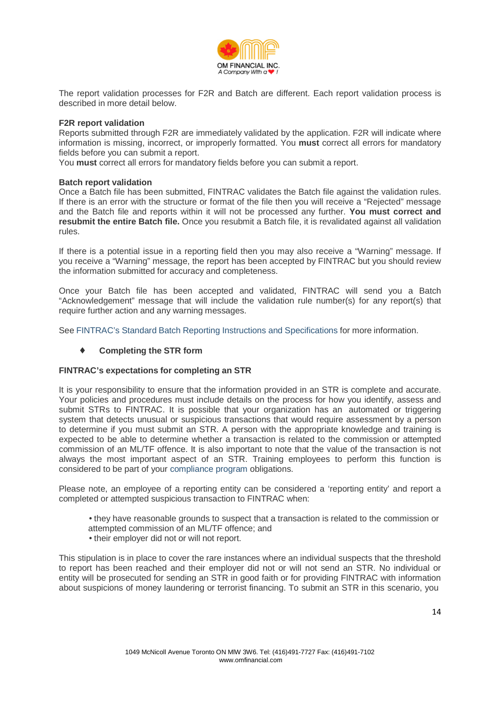

The report validation processes for F2R and Batch are different. Each report validation process is described in more detail below.

#### **F2R report validation**

Reports submitted through F2R are immediately validated by the application. F2R will indicate where information is missing, incorrect, or improperly formatted. You **must** correct all errors for mandatory fields before you can submit a report.

You **must** correct all errors for mandatory fields before you can submit a report.

#### **Batch report validation**

Once a Batch file has been submitted, FINTRAC validates the Batch file against the validation rules. If there is an error with the structure or format of the file then you will receive a "Rejected" message and the Batch file and reports within it will not be processed any further. **You must correct and resubmit the entire Batch file.** Once you resubmit a Batch file, it is revalidated against all validation rules.

If there is a potential issue in a reporting field then you may also receive a "Warning" message. If you receive a "Warning" message, the report has been accepted by FINTRAC but you should review the information submitted for accuracy and completeness.

Once your Batch file has been accepted and validated, FINTRAC will send you a Batch "Acknowledgement" message that will include the validation rule number(s) for any report(s) that require further action and any warning messages.

See FINTRAC's Standard Batch Reporting Instructions and Specifications for more information.

#### **Completing the STR form**

#### **FINTRAC's expectations for completing an STR**

It is your responsibility to ensure that the information provided in an STR is complete and accurate. Your policies and procedures must include details on the process for how you identify, assess and submit STRs to FINTRAC. It is possible that your organization has an automated or triggering system that detects unusual or suspicious transactions that would require assessment by a person to determine if you must submit an STR. A person with the appropriate knowledge and training is expected to be able to determine whether a transaction is related to the commission or attempted commission of an ML/TF offence. It is also important to note that the value of the transaction is not always the most important aspect of an STR. Training employees to perform this function is considered to be part of your compliance program obligations.

Please note, an employee of a reporting entity can be considered a 'reporting entity' and report a completed or attempted suspicious transaction to FINTRAC when:

- they have reasonable grounds to suspect that a transaction is related to the commission or
- attempted commission of an ML/TF offence; and
- their employer did not or will not report.

This stipulation is in place to cover the rare instances where an individual suspects that the threshold to report has been reached and their employer did not or will not send an STR. No individual or entity will be prosecuted for sending an STR in good faith or for providing FINTRAC with information about suspicions of money laundering or terrorist financing. To submit an STR in this scenario, you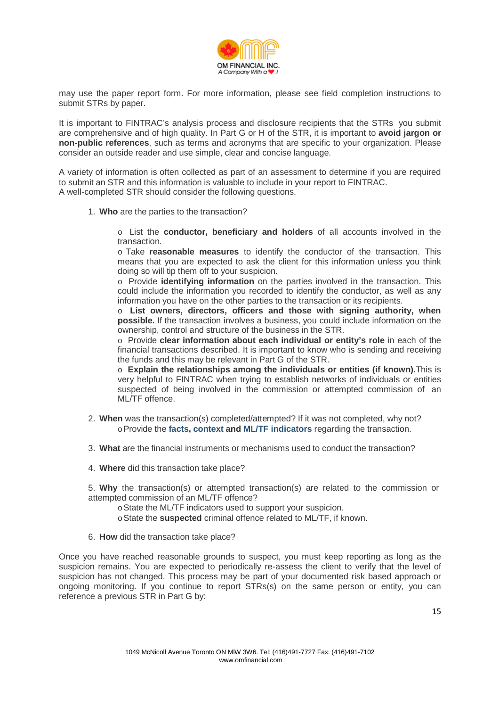

may use the paper report form. For more information, please see field completion instructions to submit STRs by paper.

It is important to FINTRAC's analysis process and disclosure recipients that the STRs you submit are comprehensive and of high quality. In Part G or H of the STR, it is important to **avoid jargon or non-public references**, such as terms and acronyms that are specific to your organization. Please consider an outside reader and use simple, clear and concise language.

A variety of information is often collected as part of an assessment to determine if you are required to submit an STR and this information is valuable to include in your report to FINTRAC. A well-completed STR should consider the following questions.

1. **Who** are the parties to the transaction?

o List the **conductor, beneficiary and holders** of all accounts involved in the transaction.

o Take **reasonable measures** to identify the conductor of the transaction. This means that you are expected to ask the client for this information unless you think doing so will tip them off to your suspicion.

o Provide **identifying information** on the parties involved in the transaction. This could include the information you recorded to identify the conductor, as well as any information you have on the other parties to the transaction or its recipients.

o **List owners, directors, officers and those with signing authority, when possible.** If the transaction involves a business, you could include information on the ownership, control and structure of the business in the STR.

o Provide **clear information about each individual or entity's role** in each of the financial transactions described. It is important to know who is sending and receiving the funds and this may be relevant in Part G of the STR.

o **Explain the relationships among the individuals or entities (if known).**This is very helpful to FINTRAC when trying to establish networks of individuals or entities suspected of being involved in the commission or attempted commission of an ML/TF offence.

- 2. **When** was the transaction(s) completed/attempted? If it was not completed, why not? o Provide the **facts, context and ML/TF indicators** regarding the transaction.
- 3. **What** are the financial instruments or mechanisms used to conduct the transaction?
- 4. **Where** did this transaction take place?

5. **Why** the transaction(s) or attempted transaction(s) are related to the commission or attempted commission of an ML/TF offence?

o State the ML/TF indicators used to support your suspicion.

- o State the **suspected** criminal offence related to ML/TF, if known.
- 6. **How** did the transaction take place?

Once you have reached reasonable grounds to suspect, you must keep reporting as long as the suspicion remains. You are expected to periodically re-assess the client to verify that the level of suspicion has not changed. This process may be part of your documented risk based approach or ongoing monitoring. If you continue to report STRs(s) on the same person or entity, you can reference a previous STR in Part G by: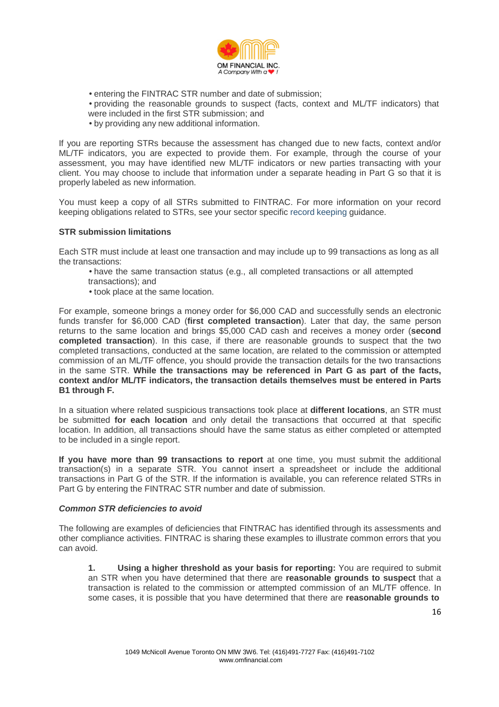

- entering the FINTRAC STR number and date of submission;
- providing the reasonable grounds to suspect (facts, context and ML/TF indicators) that were included in the first STR submission; and
- by providing any new additional information.

If you are reporting STRs because the assessment has changed due to new facts, context and/or ML/TF indicators, you are expected to provide them. For example, through the course of your assessment, you may have identified new ML/TF indicators or new parties transacting with your client. You may choose to include that information under a separate heading in Part G so that it is properly labeled as new information.

You must keep a copy of all STRs submitted to FINTRAC. For more information on your record keeping obligations related to STRs, see your sector specific record keeping guidance.

#### **STR submission limitations**

Each STR must include at least one transaction and may include up to 99 transactions as long as all the transactions:

- have the same transaction status (e.g., all completed transactions or all attempted
- transactions); and
- took place at the same location.

For example, someone brings a money order for \$6,000 CAD and successfully sends an electronic funds transfer for \$6,000 CAD (**first completed transaction**). Later that day, the same person returns to the same location and brings \$5,000 CAD cash and receives a money order (**second completed transaction**). In this case, if there are reasonable grounds to suspect that the two completed transactions, conducted at the same location, are related to the commission or attempted commission of an ML/TF offence, you should provide the transaction details for the two transactions in the same STR. **While the transactions may be referenced in Part G as part of the facts, context and/or ML/TF indicators, the transaction details themselves must be entered in Parts B1 through F.**

In a situation where related suspicious transactions took place at **different locations**, an STR must be submitted **for each location** and only detail the transactions that occurred at that specific location. In addition, all transactions should have the same status as either completed or attempted to be included in a single report.

**If you have more than 99 transactions to report** at one time, you must submit the additional transaction(s) in a separate STR. You cannot insert a spreadsheet or include the additional transactions in Part G of the STR. If the information is available, you can reference related STRs in Part G by entering the FINTRAC STR number and date of submission.

#### **Common STR deficiencies to avoid**

The following are examples of deficiencies that FINTRAC has identified through its assessments and other compliance activities. FINTRAC is sharing these examples to illustrate common errors that you can avoid.

**1. Using a higher threshold as your basis for reporting:** You are required to submit an STR when you have determined that there are **reasonable grounds to suspect** that a transaction is related to the commission or attempted commission of an ML/TF offence. In some cases, it is possible that you have determined that there are **reasonable grounds to**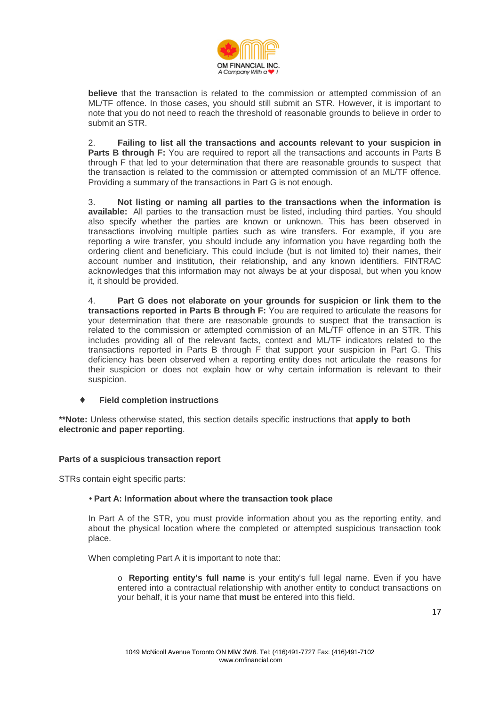

**believe** that the transaction is related to the commission or attempted commission of an ML/TF offence. In those cases, you should still submit an STR. However, it is important to note that you do not need to reach the threshold of reasonable grounds to believe in order to submit an STR.

2. **Failing to list all the transactions and accounts relevant to your suspicion in Parts B through F:** You are required to report all the transactions and accounts in Parts B through F that led to your determination that there are reasonable grounds to suspect that the transaction is related to the commission or attempted commission of an ML/TF offence. Providing a summary of the transactions in Part G is not enough.

3. **Not listing or naming all parties to the transactions when the information is available:** All parties to the transaction must be listed, including third parties. You should also specify whether the parties are known or unknown. This has been observed in transactions involving multiple parties such as wire transfers. For example, if you are reporting a wire transfer, you should include any information you have regarding both the ordering client and beneficiary. This could include (but is not limited to) their names, their account number and institution, their relationship, and any known identifiers. FINTRAC acknowledges that this information may not always be at your disposal, but when you know it, it should be provided.

4. **Part G does not elaborate on your grounds for suspicion or link them to the transactions reported in Parts B through F:** You are required to articulate the reasons for your determination that there are reasonable grounds to suspect that the transaction is related to the commission or attempted commission of an ML/TF offence in an STR. This includes providing all of the relevant facts, context and ML/TF indicators related to the transactions reported in Parts B through F that support your suspicion in Part G. This deficiency has been observed when a reporting entity does not articulate the reasons for their suspicion or does not explain how or why certain information is relevant to their suspicion.

#### ♦ **Field completion instructions**

**\*\*Note:** Unless otherwise stated, this section details specific instructions that **apply to both electronic and paper reporting**.

## **Parts of a suspicious transaction report**

STRs contain eight specific parts:

#### • **Part A: Information about where the transaction took place**

In Part A of the STR, you must provide information about you as the reporting entity, and about the physical location where the completed or attempted suspicious transaction took place.

When completing Part A it is important to note that:

o **Reporting entity's full name** is your entity's full legal name. Even if you have entered into a contractual relationship with another entity to conduct transactions on your behalf, it is your name that **must** be entered into this field.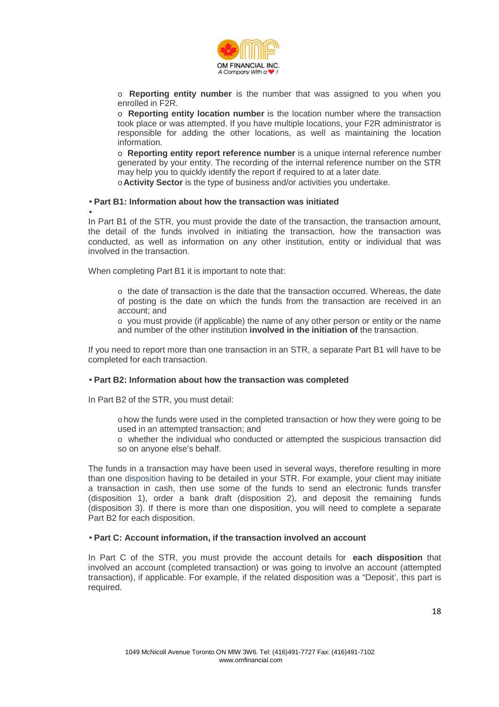

o **Reporting entity number** is the number that was assigned to you when you enrolled in F2R.

o **Reporting entity location number** is the location number where the transaction took place or was attempted. If you have multiple locations, your F2R administrator is responsible for adding the other locations, as well as maintaining the location information.

o **Reporting entity report reference number** is a unique internal reference number generated by your entity. The recording of the internal reference number on the STR may help you to quickly identify the report if required to at a later date.

o **Activity Sector** is the type of business and/or activities you undertake.

#### • **Part B1: Information about how the transaction was initiated**

• In Part B1 of the STR, you must provide the date of the transaction, the transaction amount, the detail of the funds involved in initiating the transaction, how the transaction was conducted, as well as information on any other institution, entity or individual that was involved in the transaction.

When completing Part B1 it is important to note that:

 $\circ$  the date of transaction is the date that the transaction occurred. Whereas, the date of posting is the date on which the funds from the transaction are received in an account; and

o you must provide (if applicable) the name of any other person or entity or the name and number of the other institution **involved in the initiation of** the transaction.

If you need to report more than one transaction in an STR, a separate Part B1 will have to be completed for each transaction.

#### • **Part B2: Information about how the transaction was completed**

In Part B2 of the STR, you must detail:

o how the funds were used in the completed transaction or how they were going to be used in an attempted transaction; and

o whether the individual who conducted or attempted the suspicious transaction did so on anyone else's behalf.

The funds in a transaction may have been used in several ways, therefore resulting in more than one disposition having to be detailed in your STR. For example, your client may initiate a transaction in cash, then use some of the funds to send an electronic funds transfer (disposition 1), order a bank draft (disposition 2), and deposit the remaining funds (disposition 3). If there is more than one disposition, you will need to complete a separate Part B2 for each disposition.

#### • **Part C: Account information, if the transaction involved an account**

In Part C of the STR, you must provide the account details for **each disposition** that involved an account (completed transaction) or was going to involve an account (attempted transaction), if applicable. For example, if the related disposition was a "Deposit', this part is required.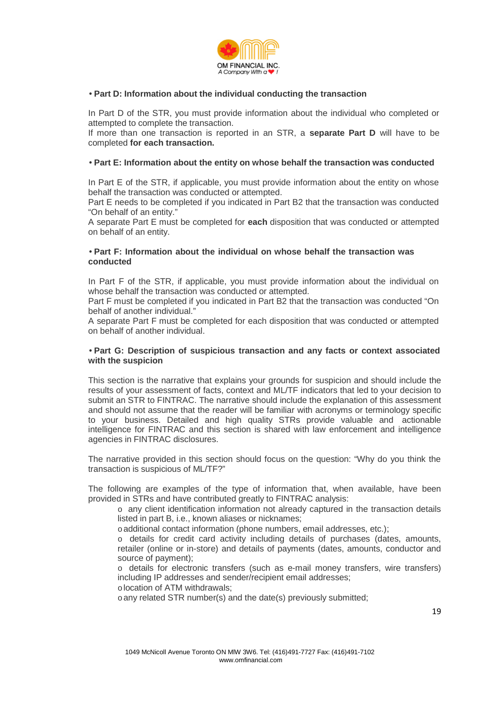

#### • **Part D: Information about the individual conducting the transaction**

In Part D of the STR, you must provide information about the individual who completed or attempted to complete the transaction.

If more than one transaction is reported in an STR, a **separate Part D** will have to be completed **for each transaction.**

#### • **Part E: Information about the entity on whose behalf the transaction was conducted**

In Part E of the STR, if applicable, you must provide information about the entity on whose behalf the transaction was conducted or attempted.

Part E needs to be completed if you indicated in Part B2 that the transaction was conducted "On behalf of an entity."

A separate Part E must be completed for **each** disposition that was conducted or attempted on behalf of an entity.

#### • **Part F: Information about the individual on whose behalf the transaction was conducted**

In Part F of the STR, if applicable, you must provide information about the individual on whose behalf the transaction was conducted or attempted.

Part F must be completed if you indicated in Part B2 that the transaction was conducted "On behalf of another individual."

A separate Part F must be completed for each disposition that was conducted or attempted on behalf of another individual.

#### • **Part G: Description of suspicious transaction and any facts or context associated with the suspicion**

This section is the narrative that explains your grounds for suspicion and should include the results of your assessment of facts, context and ML/TF indicators that led to your decision to submit an STR to FINTRAC. The narrative should include the explanation of this assessment and should not assume that the reader will be familiar with acronyms or terminology specific to your business. Detailed and high quality STRs provide valuable and actionable intelligence for FINTRAC and this section is shared with law enforcement and intelligence agencies in FINTRAC disclosures.

The narrative provided in this section should focus on the question: "Why do you think the transaction is suspicious of ML/TF?"

The following are examples of the type of information that, when available, have been provided in STRs and have contributed greatly to FINTRAC analysis:

o any client identification information not already captured in the transaction details listed in part B, i.e., known aliases or nicknames;

o additional contact information (phone numbers, email addresses, etc.);

o details for credit card activity including details of purchases (dates, amounts, retailer (online or in-store) and details of payments (dates, amounts, conductor and source of payment);

 $\circ$  details for electronic transfers (such as e-mail money transfers, wire transfers) including IP addresses and sender/recipient email addresses;

o location of ATM withdrawals;

o any related STR number(s) and the date(s) previously submitted;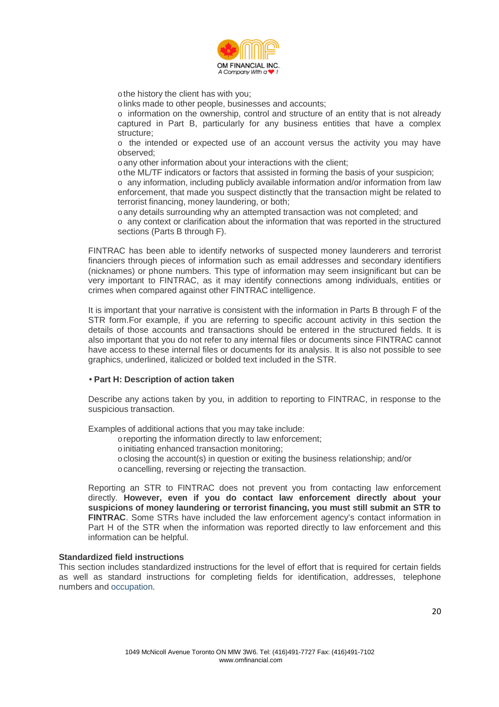

o the history the client has with you;

o links made to other people, businesses and accounts;

o information on the ownership, control and structure of an entity that is not already captured in Part B, particularly for any business entities that have a complex structure;

o the intended or expected use of an account versus the activity you may have observed;

o any other information about your interactions with the client;

o the ML/TF indicators or factors that assisted in forming the basis of your suspicion;

 $\circ$  any information, including publicly available information and/or information from law enforcement, that made you suspect distinctly that the transaction might be related to terrorist financing, money laundering, or both;

o any details surrounding why an attempted transaction was not completed; and o any context or clarification about the information that was reported in the structured sections (Parts B through F).

FINTRAC has been able to identify networks of suspected money launderers and terrorist financiers through pieces of information such as email addresses and secondary identifiers (nicknames) or phone numbers. This type of information may seem insignificant but can be very important to FINTRAC, as it may identify connections among individuals, entities or crimes when compared against other FINTRAC intelligence.

It is important that your narrative is consistent with the information in Parts B through F of the STR form.For example, if you are referring to specific account activity in this section the details of those accounts and transactions should be entered in the structured fields. It is also important that you do not refer to any internal files or documents since FINTRAC cannot have access to these internal files or documents for its analysis. It is also not possible to see graphics, underlined, italicized or bolded text included in the STR.

#### • **Part H: Description of action taken**

Describe any actions taken by you, in addition to reporting to FINTRAC, in response to the suspicious transaction.

Examples of additional actions that you may take include:

- o reporting the information directly to law enforcement;
- o initiating enhanced transaction monitoring;
- o closing the account(s) in question or exiting the business relationship; and/or
- o cancelling, reversing or rejecting the transaction.

Reporting an STR to FINTRAC does not prevent you from contacting law enforcement directly. **However, even if you do contact law enforcement directly about your suspicions of money laundering or terrorist financing, you must still submit an STR to FINTRAC**. Some STRs have included the law enforcement agency's contact information in Part H of the STR when the information was reported directly to law enforcement and this information can be helpful.

#### **Standardized field instructions**

This section includes standardized instructions for the level of effort that is required for certain fields as well as standard instructions for completing fields for identification, addresses, telephone numbers and occupation.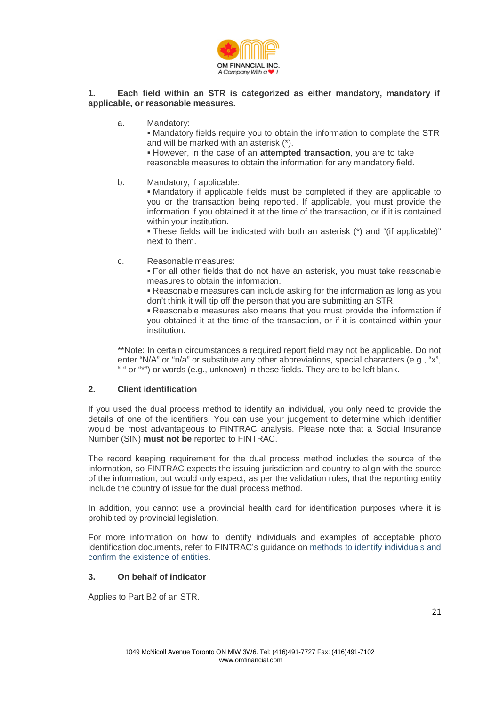

#### **1. Each field within an STR is categorized as either mandatory, mandatory if applicable, or reasonable measures.**

a. Mandatory:

 Mandatory fields require you to obtain the information to complete the STR and will be marked with an asterisk (\*).

 However, in the case of an **attempted transaction**, you are to take reasonable measures to obtain the information for any mandatory field.

b. Mandatory, if applicable:

 Mandatory if applicable fields must be completed if they are applicable to you or the transaction being reported. If applicable, you must provide the information if you obtained it at the time of the transaction, or if it is contained within your institution.

 These fields will be indicated with both an asterisk (\*) and "(if applicable)" next to them.

c. Reasonable measures:

 For all other fields that do not have an asterisk, you must take reasonable measures to obtain the information.

 Reasonable measures can include asking for the information as long as you don't think it will tip off the person that you are submitting an STR.

 Reasonable measures also means that you must provide the information if you obtained it at the time of the transaction, or if it is contained within your institution.

\*\*Note: In certain circumstances a required report field may not be applicable. Do not enter "N/A" or "n/a" or substitute any other abbreviations, special characters (e.g., "x", "-" or "\*") or words (e.g., unknown) in these fields. They are to be left blank.

## **2. Client identification**

If you used the dual process method to identify an individual, you only need to provide the details of one of the identifiers. You can use your judgement to determine which identifier would be most advantageous to FINTRAC analysis. Please note that a Social Insurance Number (SIN) **must not be** reported to FINTRAC.

The record keeping requirement for the dual process method includes the source of the information, so FINTRAC expects the issuing jurisdiction and country to align with the source of the information, but would only expect, as per the validation rules, that the reporting entity include the country of issue for the dual process method.

In addition, you cannot use a provincial health card for identification purposes where it is prohibited by provincial legislation.

For more information on how to identify individuals and examples of acceptable photo identification documents, refer to FINTRAC's guidance on methods to identify individuals and confirm the existence of entities.

#### **3. On behalf of indicator**

Applies to Part B2 of an STR.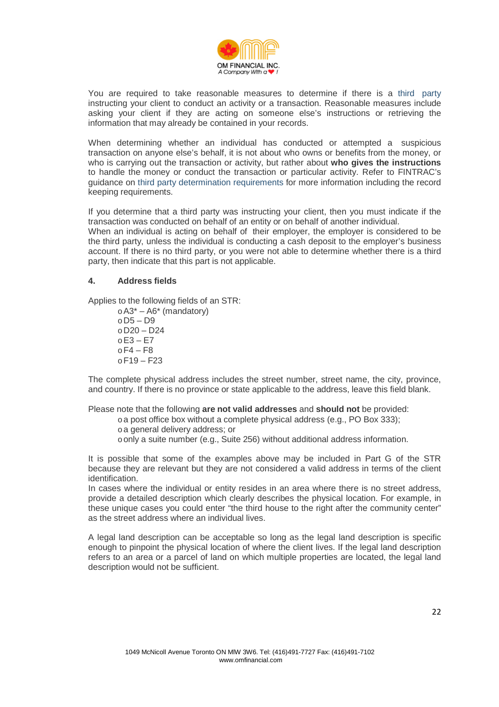

You are required to take reasonable measures to determine if there is a third party instructing your client to conduct an activity or a transaction. Reasonable measures include asking your client if they are acting on someone else's instructions or retrieving the information that may already be contained in your records.

When determining whether an individual has conducted or attempted a suspicious transaction on anyone else's behalf, it is not about who owns or benefits from the money, or who is carrying out the transaction or activity, but rather about **who gives the instructions**  to handle the money or conduct the transaction or particular activity. Refer to FINTRAC's guidance on third party determination requirements for more information including the record keeping requirements.

If you determine that a third party was instructing your client, then you must indicate if the transaction was conducted on behalf of an entity or on behalf of another individual.

When an individual is acting on behalf of their employer, the employer is considered to be the third party, unless the individual is conducting a cash deposit to the employer's business account. If there is no third party, or you were not able to determine whether there is a third party, then indicate that this part is not applicable.

#### **4. Address fields**

Applies to the following fields of an STR:

 $\circ$  A3<sup>\*</sup> – A6<sup>\*</sup> (mandatory)  $\overline{OB}$  – D9  $0.020 - 0.24$  $o E3 - E7$  $o$  F4 – F8  $o$  F<sub>19</sub> – F<sub>23</sub>

The complete physical address includes the street number, street name, the city, province, and country. If there is no province or state applicable to the address, leave this field blank.

Please note that the following **are not valid addresses** and **should not** be provided:

- o a post office box without a complete physical address (e.g., PO Box 333);
	- o a general delivery address; or
	- o only a suite number (e.g., Suite 256) without additional address information.

It is possible that some of the examples above may be included in Part G of the STR because they are relevant but they are not considered a valid address in terms of the client identification.

In cases where the individual or entity resides in an area where there is no street address, provide a detailed description which clearly describes the physical location. For example, in these unique cases you could enter "the third house to the right after the community center" as the street address where an individual lives.

A legal land description can be acceptable so long as the legal land description is specific enough to pinpoint the physical location of where the client lives. If the legal land description refers to an area or a parcel of land on which multiple properties are located, the legal land description would not be sufficient.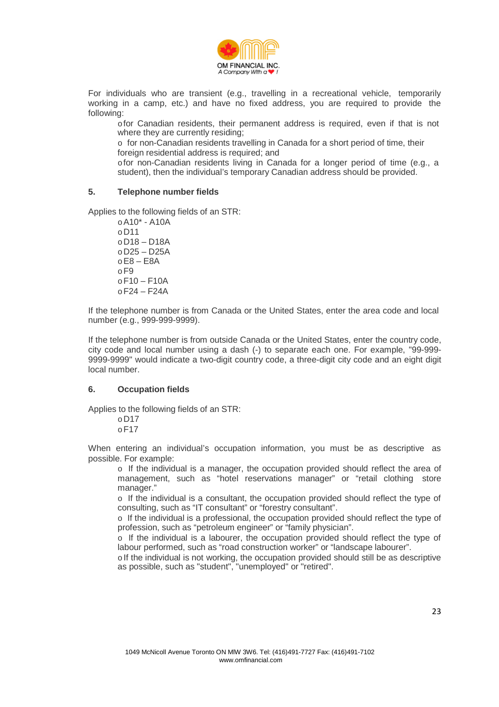

For individuals who are transient (e.g., travelling in a recreational vehicle, temporarily working in a camp, etc.) and have no fixed address, you are required to provide the following:

o for Canadian residents, their permanent address is required, even if that is not where they are currently residing;

 $\circ$  for non-Canadian residents travelling in Canada for a short period of time, their foreign residential address is required; and

o for non-Canadian residents living in Canada for a longer period of time (e.g., a student), then the individual's temporary Canadian address should be provided.

#### **5. Telephone number fields**

Applies to the following fields of an STR:

 $0.6410* - A10A$  $\circ$  D<sub>11</sub> o D18 – D18A o D25 – D25A  $o$  E8 – E8A  $\circ$  F<sub>9</sub>  $o$  F10 – F10A  $\circ$ F24 – F24A

If the telephone number is from Canada or the United States, enter the area code and local number (e.g., 999-999-9999).

If the telephone number is from outside Canada or the United States, enter the country code, city code and local number using a dash (-) to separate each one. For example, "99-999- 9999-9999" would indicate a two-digit country code, a three-digit city code and an eight digit local number.

#### **6. Occupation fields**

Applies to the following fields of an STR:

 $o$ D17

 $\circ$ F<sub>17</sub>

When entering an individual's occupation information, you must be as descriptive as possible. For example:

o If the individual is a manager, the occupation provided should reflect the area of management, such as "hotel reservations manager" or "retail clothing store manager."

 $\circ$  If the individual is a consultant, the occupation provided should reflect the type of consulting, such as "IT consultant" or "forestry consultant".

o If the individual is a professional, the occupation provided should reflect the type of profession, such as "petroleum engineer" or "family physician".

o If the individual is a labourer, the occupation provided should reflect the type of labour performed, such as "road construction worker" or "landscape labourer".

o If the individual is not working, the occupation provided should still be as descriptive as possible, such as "student", "unemployed" or "retired".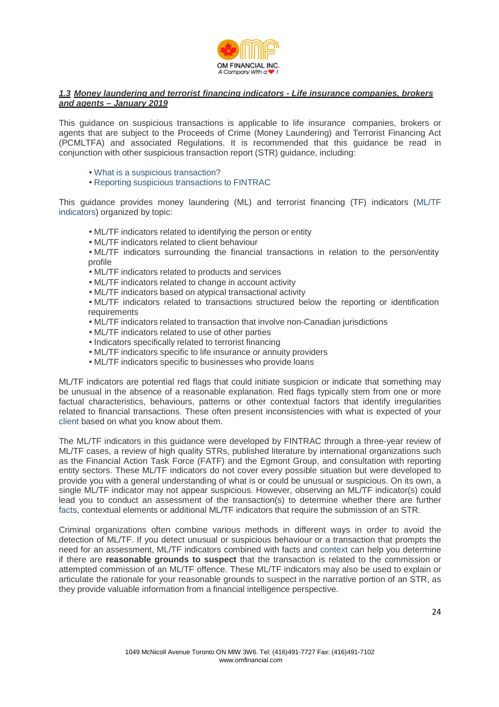

#### **1.3 Money laundering and terrorist financing indicators - Life insurance companies, brokers and agents – January 2019**

This guidance on suspicious transactions is applicable to life insurance companies, brokers or agents that are subject to the Proceeds of Crime (Money Laundering) and Terrorist Financing Act (PCMLTFA) and associated Regulations. It is recommended that this guidance be read in conjunction with other suspicious transaction report (STR) guidance, including:

- What is a suspicious transaction?
- Reporting suspicious transactions to FINTRAC

This guidance provides money laundering (ML) and terrorist financing (TF) indicators (ML/TF indicators) organized by topic:

- ML/TF indicators related to identifying the person or entity
- ML/TF indicators related to client behaviour
- ML/TF indicators surrounding the financial transactions in relation to the person/entity profile
- ML/TF indicators related to products and services
- ML/TF indicators related to change in account activity
- ML/TF indicators based on atypical transactional activity

• ML/TF indicators related to transactions structured below the reporting or identification requirements

- ML/TF indicators related to transaction that involve non-Canadian jurisdictions
- ML/TF indicators related to use of other parties
- Indicators specifically related to terrorist financing
- ML/TF indicators specific to life insurance or annuity providers
- ML/TF indicators specific to businesses who provide loans

ML/TF indicators are potential red flags that could initiate suspicion or indicate that something may be unusual in the absence of a reasonable explanation. Red flags typically stem from one or more factual characteristics, behaviours, patterns or other contextual factors that identify irregularities related to financial transactions. These often present inconsistencies with what is expected of your client based on what you know about them.

The ML/TF indicators in this guidance were developed by FINTRAC through a three-year review of ML/TF cases, a review of high quality STRs, published literature by international organizations such as the Financial Action Task Force (FATF) and the Egmont Group, and consultation with reporting entity sectors. These ML/TF indicators do not cover every possible situation but were developed to provide you with a general understanding of what is or could be unusual or suspicious. On its own, a single ML/TF indicator may not appear suspicious. However, observing an ML/TF indicator(s) could lead you to conduct an assessment of the transaction(s) to determine whether there are further facts, contextual elements or additional ML/TF indicators that require the submission of an STR.

Criminal organizations often combine various methods in different ways in order to avoid the detection of ML/TF. If you detect unusual or suspicious behaviour or a transaction that prompts the need for an assessment, ML/TF indicators combined with facts and context can help you determine if there are **reasonable grounds to suspect** that the transaction is related to the commission or attempted commission of an ML/TF offence. These ML/TF indicators may also be used to explain or articulate the rationale for your reasonable grounds to suspect in the narrative portion of an STR, as they provide valuable information from a financial intelligence perspective.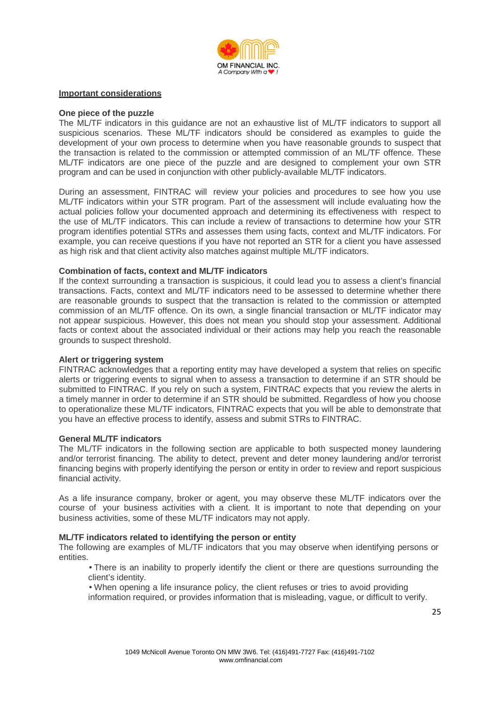

#### **Important considerations**

#### **One piece of the puzzle**

The ML/TF indicators in this guidance are not an exhaustive list of ML/TF indicators to support all suspicious scenarios. These ML/TF indicators should be considered as examples to guide the development of your own process to determine when you have reasonable grounds to suspect that the transaction is related to the commission or attempted commission of an ML/TF offence. These ML/TF indicators are one piece of the puzzle and are designed to complement your own STR program and can be used in conjunction with other publicly-available ML/TF indicators.

During an assessment, FINTRAC will review your policies and procedures to see how you use ML/TF indicators within your STR program. Part of the assessment will include evaluating how the actual policies follow your documented approach and determining its effectiveness with respect to the use of ML/TF indicators. This can include a review of transactions to determine how your STR program identifies potential STRs and assesses them using facts, context and ML/TF indicators. For example, you can receive questions if you have not reported an STR for a client you have assessed as high risk and that client activity also matches against multiple ML/TF indicators.

#### **Combination of facts, context and ML/TF indicators**

If the context surrounding a transaction is suspicious, it could lead you to assess a client's financial transactions. Facts, context and ML/TF indicators need to be assessed to determine whether there are reasonable grounds to suspect that the transaction is related to the commission or attempted commission of an ML/TF offence. On its own, a single financial transaction or ML/TF indicator may not appear suspicious. However, this does not mean you should stop your assessment. Additional facts or context about the associated individual or their actions may help you reach the reasonable grounds to suspect threshold.

#### **Alert or triggering system**

FINTRAC acknowledges that a reporting entity may have developed a system that relies on specific alerts or triggering events to signal when to assess a transaction to determine if an STR should be submitted to FINTRAC. If you rely on such a system, FINTRAC expects that you review the alerts in a timely manner in order to determine if an STR should be submitted. Regardless of how you choose to operationalize these ML/TF indicators, FINTRAC expects that you will be able to demonstrate that you have an effective process to identify, assess and submit STRs to FINTRAC.

#### **General ML/TF indicators**

The ML/TF indicators in the following section are applicable to both suspected money laundering and/or terrorist financing. The ability to detect, prevent and deter money laundering and/or terrorist financing begins with properly identifying the person or entity in order to review and report suspicious financial activity.

As a life insurance company, broker or agent, you may observe these ML/TF indicators over the course of your business activities with a client. It is important to note that depending on your business activities, some of these ML/TF indicators may not apply.

#### **ML/TF indicators related to identifying the person or entity**

The following are examples of ML/TF indicators that you may observe when identifying persons or entities.

- There is an inability to properly identify the client or there are questions surrounding the client's identity.
- When opening a life insurance policy, the client refuses or tries to avoid providing information required, or provides information that is misleading, vague, or difficult to verify.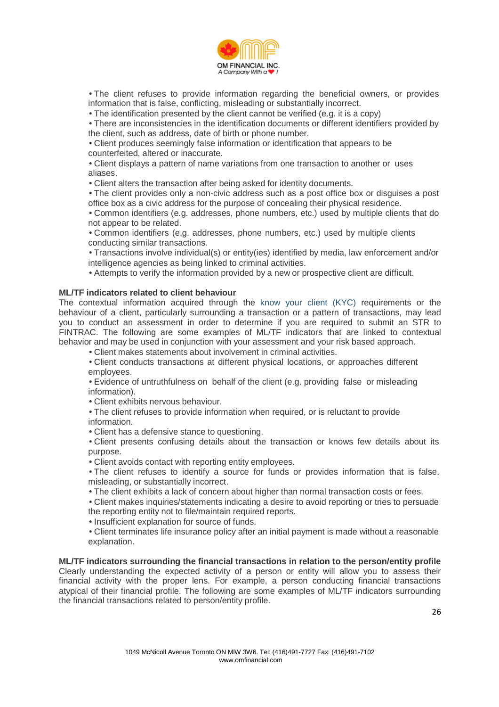

• The client refuses to provide information regarding the beneficial owners, or provides information that is false, conflicting, misleading or substantially incorrect.

• The identification presented by the client cannot be verified (e.g. it is a copy)

• There are inconsistencies in the identification documents or different identifiers provided by the client, such as address, date of birth or phone number.

• Client produces seemingly false information or identification that appears to be counterfeited, altered or inaccurate.

• Client displays a pattern of name variations from one transaction to another or uses aliases.

• Client alters the transaction after being asked for identity documents.

• The client provides only a non-civic address such as a post office box or disguises a post office box as a civic address for the purpose of concealing their physical residence.

• Common identifiers (e.g. addresses, phone numbers, etc.) used by multiple clients that do not appear to be related.

• Common identifiers (e.g. addresses, phone numbers, etc.) used by multiple clients conducting similar transactions.

• Transactions involve individual(s) or entity(ies) identified by media, law enforcement and/or intelligence agencies as being linked to criminal activities.

• Attempts to verify the information provided by a new or prospective client are difficult.

#### **ML/TF indicators related to client behaviour**

The contextual information acquired through the know your client (KYC) requirements or the behaviour of a client, particularly surrounding a transaction or a pattern of transactions, may lead you to conduct an assessment in order to determine if you are required to submit an STR to FINTRAC. The following are some examples of ML/TF indicators that are linked to contextual behavior and may be used in conjunction with your assessment and your risk based approach.

• Client makes statements about involvement in criminal activities.

• Client conducts transactions at different physical locations, or approaches different employees.

• Evidence of untruthfulness on behalf of the client (e.g. providing false or misleading information).

• Client exhibits nervous behaviour.

• The client refuses to provide information when required, or is reluctant to provide information.

• Client has a defensive stance to questioning.

• Client presents confusing details about the transaction or knows few details about its purpose.

• Client avoids contact with reporting entity employees.

• The client refuses to identify a source for funds or provides information that is false, misleading, or substantially incorrect.

• The client exhibits a lack of concern about higher than normal transaction costs or fees.

• Client makes inquiries/statements indicating a desire to avoid reporting or tries to persuade the reporting entity not to file/maintain required reports.

• Insufficient explanation for source of funds.

• Client terminates life insurance policy after an initial payment is made without a reasonable explanation.

**ML/TF indicators surrounding the financial transactions in relation to the person/entity profile**  Clearly understanding the expected activity of a person or entity will allow you to assess their financial activity with the proper lens. For example, a person conducting financial transactions atypical of their financial profile. The following are some examples of ML/TF indicators surrounding the financial transactions related to person/entity profile.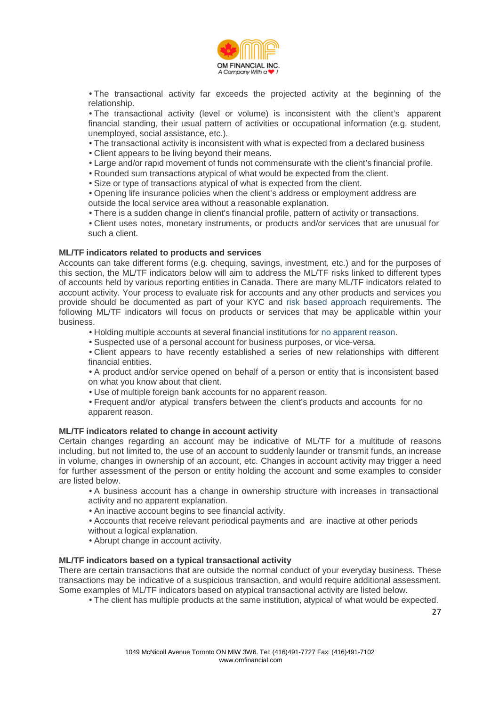

• The transactional activity far exceeds the projected activity at the beginning of the relationship.

• The transactional activity (level or volume) is inconsistent with the client's apparent financial standing, their usual pattern of activities or occupational information (e.g. student, unemployed, social assistance, etc.).

- The transactional activity is inconsistent with what is expected from a declared business
- Client appears to be living beyond their means.
- Large and/or rapid movement of funds not commensurate with the client's financial profile.
- Rounded sum transactions atypical of what would be expected from the client.
- Size or type of transactions atypical of what is expected from the client.
- Opening life insurance policies when the client's address or employment address are
- outside the local service area without a reasonable explanation.
- There is a sudden change in client's financial profile, pattern of activity or transactions.
- Client uses notes, monetary instruments, or products and/or services that are unusual for such a client.

#### **ML/TF indicators related to products and services**

Accounts can take different forms (e.g. chequing, savings, investment, etc.) and for the purposes of this section, the ML/TF indicators below will aim to address the ML/TF risks linked to different types of accounts held by various reporting entities in Canada. There are many ML/TF indicators related to account activity. Your process to evaluate risk for accounts and any other products and services you provide should be documented as part of your KYC and risk based approach requirements. The following ML/TF indicators will focus on products or services that may be applicable within your business.

- Holding multiple accounts at several financial institutions for no apparent reason.
- Suspected use of a personal account for business purposes, or vice-versa.

• Client appears to have recently established a series of new relationships with different financial entities.

• A product and/or service opened on behalf of a person or entity that is inconsistent based on what you know about that client.

• Use of multiple foreign bank accounts for no apparent reason.

• Frequent and/or atypical transfers between the client's products and accounts for no apparent reason.

#### **ML/TF indicators related to change in account activity**

Certain changes regarding an account may be indicative of ML/TF for a multitude of reasons including, but not limited to, the use of an account to suddenly launder or transmit funds, an increase in volume, changes in ownership of an account, etc. Changes in account activity may trigger a need for further assessment of the person or entity holding the account and some examples to consider are listed below.

- A business account has a change in ownership structure with increases in transactional activity and no apparent explanation.
- An inactive account begins to see financial activity.
- Accounts that receive relevant periodical payments and are inactive at other periods without a logical explanation.
- Abrupt change in account activity.

#### **ML/TF indicators based on a typical transactional activity**

There are certain transactions that are outside the normal conduct of your everyday business. These transactions may be indicative of a suspicious transaction, and would require additional assessment. Some examples of ML/TF indicators based on atypical transactional activity are listed below.

• The client has multiple products at the same institution, atypical of what would be expected.

27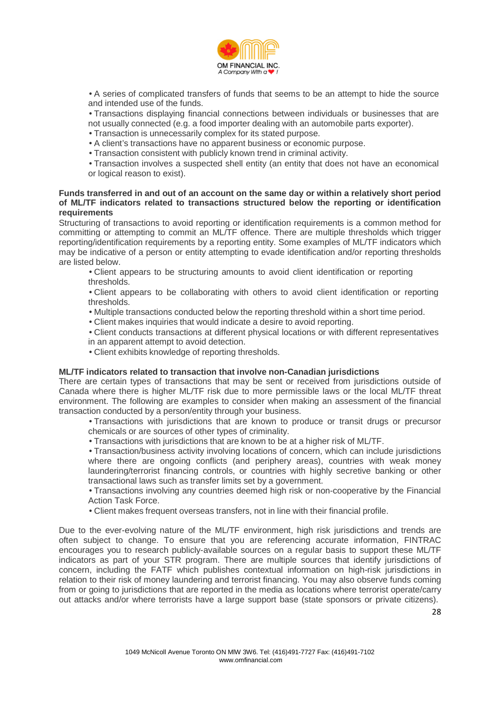

• A series of complicated transfers of funds that seems to be an attempt to hide the source and intended use of the funds.

• Transactions displaying financial connections between individuals or businesses that are not usually connected (e.g. a food importer dealing with an automobile parts exporter).

- Transaction is unnecessarily complex for its stated purpose.
- A client's transactions have no apparent business or economic purpose.
- Transaction consistent with publicly known trend in criminal activity.

• Transaction involves a suspected shell entity (an entity that does not have an economical or logical reason to exist).

#### **Funds transferred in and out of an account on the same day or within a relatively short period of ML/TF indicators related to transactions structured below the reporting or identification requirements**

Structuring of transactions to avoid reporting or identification requirements is a common method for committing or attempting to commit an ML/TF offence. There are multiple thresholds which trigger reporting/identification requirements by a reporting entity. Some examples of ML/TF indicators which may be indicative of a person or entity attempting to evade identification and/or reporting thresholds are listed below.

• Client appears to be structuring amounts to avoid client identification or reporting thresholds.

• Client appears to be collaborating with others to avoid client identification or reporting thresholds.

- Multiple transactions conducted below the reporting threshold within a short time period.
- Client makes inquiries that would indicate a desire to avoid reporting.
- Client conducts transactions at different physical locations or with different representatives in an apparent attempt to avoid detection.
- Client exhibits knowledge of reporting thresholds.

#### **ML/TF indicators related to transaction that involve non-Canadian jurisdictions**

There are certain types of transactions that may be sent or received from jurisdictions outside of Canada where there is higher ML/TF risk due to more permissible laws or the local ML/TF threat environment. The following are examples to consider when making an assessment of the financial transaction conducted by a person/entity through your business.

- Transactions with jurisdictions that are known to produce or transit drugs or precursor chemicals or are sources of other types of criminality.
- Transactions with jurisdictions that are known to be at a higher risk of ML/TF.

• Transaction/business activity involving locations of concern, which can include jurisdictions where there are ongoing conflicts (and periphery areas), countries with weak money laundering/terrorist financing controls, or countries with highly secretive banking or other transactional laws such as transfer limits set by a government.

• Transactions involving any countries deemed high risk or non-cooperative by the Financial Action Task Force.

• Client makes frequent overseas transfers, not in line with their financial profile.

Due to the ever-evolving nature of the ML/TF environment, high risk jurisdictions and trends are often subject to change. To ensure that you are referencing accurate information, FINTRAC encourages you to research publicly-available sources on a regular basis to support these ML/TF indicators as part of your STR program. There are multiple sources that identify jurisdictions of concern, including the FATF which publishes contextual information on high-risk jurisdictions in relation to their risk of money laundering and terrorist financing. You may also observe funds coming from or going to jurisdictions that are reported in the media as locations where terrorist operate/carry out attacks and/or where terrorists have a large support base (state sponsors or private citizens).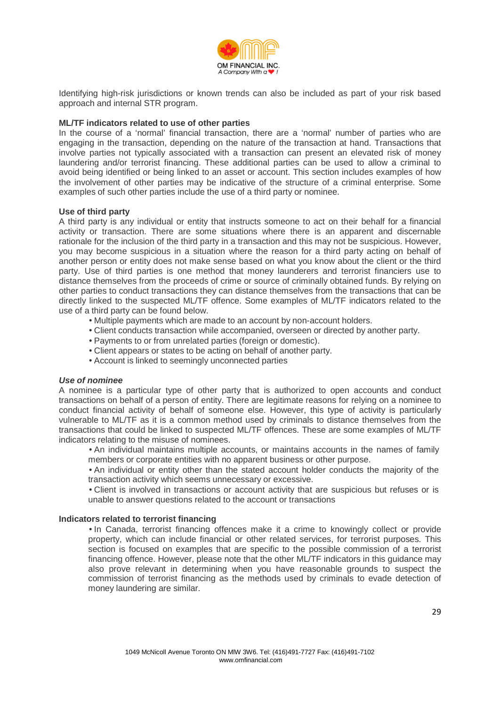

Identifying high-risk jurisdictions or known trends can also be included as part of your risk based approach and internal STR program.

#### **ML/TF indicators related to use of other parties**

In the course of a 'normal' financial transaction, there are a 'normal' number of parties who are engaging in the transaction, depending on the nature of the transaction at hand. Transactions that involve parties not typically associated with a transaction can present an elevated risk of money laundering and/or terrorist financing. These additional parties can be used to allow a criminal to avoid being identified or being linked to an asset or account. This section includes examples of how the involvement of other parties may be indicative of the structure of a criminal enterprise. Some examples of such other parties include the use of a third party or nominee.

#### **Use of third party**

A third party is any individual or entity that instructs someone to act on their behalf for a financial activity or transaction. There are some situations where there is an apparent and discernable rationale for the inclusion of the third party in a transaction and this may not be suspicious. However, you may become suspicious in a situation where the reason for a third party acting on behalf of another person or entity does not make sense based on what you know about the client or the third party. Use of third parties is one method that money launderers and terrorist financiers use to distance themselves from the proceeds of crime or source of criminally obtained funds. By relying on other parties to conduct transactions they can distance themselves from the transactions that can be directly linked to the suspected ML/TF offence. Some examples of ML/TF indicators related to the use of a third party can be found below.

- Multiple payments which are made to an account by non-account holders.
- Client conducts transaction while accompanied, overseen or directed by another party.
- Payments to or from unrelated parties (foreign or domestic).
- Client appears or states to be acting on behalf of another party.
- Account is linked to seemingly unconnected parties

#### **Use of nominee**

A nominee is a particular type of other party that is authorized to open accounts and conduct transactions on behalf of a person of entity. There are legitimate reasons for relying on a nominee to conduct financial activity of behalf of someone else. However, this type of activity is particularly vulnerable to ML/TF as it is a common method used by criminals to distance themselves from the transactions that could be linked to suspected ML/TF offences. These are some examples of ML/TF indicators relating to the misuse of nominees.

• An individual maintains multiple accounts, or maintains accounts in the names of family members or corporate entities with no apparent business or other purpose.

• An individual or entity other than the stated account holder conducts the majority of the transaction activity which seems unnecessary or excessive.

• Client is involved in transactions or account activity that are suspicious but refuses or is unable to answer questions related to the account or transactions

#### **Indicators related to terrorist financing**

• In Canada, terrorist financing offences make it a crime to knowingly collect or provide property, which can include financial or other related services, for terrorist purposes. This section is focused on examples that are specific to the possible commission of a terrorist financing offence. However, please note that the other ML/TF indicators in this guidance may also prove relevant in determining when you have reasonable grounds to suspect the commission of terrorist financing as the methods used by criminals to evade detection of money laundering are similar.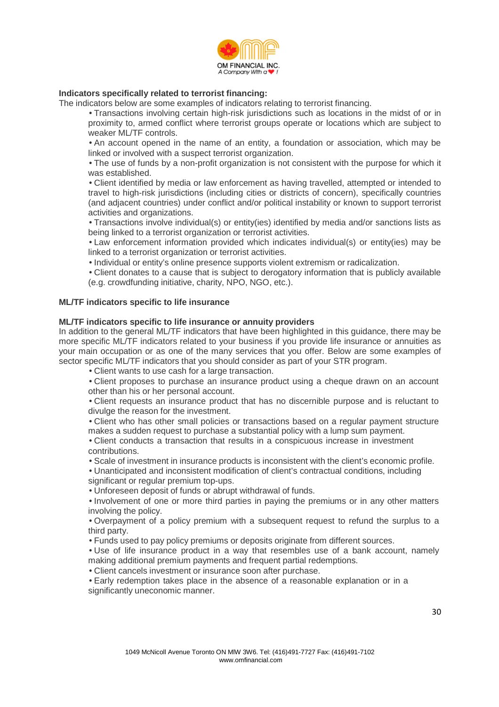

#### **Indicators specifically related to terrorist financing:**

The indicators below are some examples of indicators relating to terrorist financing.

• Transactions involving certain high-risk jurisdictions such as locations in the midst of or in proximity to, armed conflict where terrorist groups operate or locations which are subject to weaker ML/TF controls.

• An account opened in the name of an entity, a foundation or association, which may be linked or involved with a suspect terrorist organization.

• The use of funds by a non-profit organization is not consistent with the purpose for which it was established.

• Client identified by media or law enforcement as having travelled, attempted or intended to travel to high-risk jurisdictions (including cities or districts of concern), specifically countries (and adjacent countries) under conflict and/or political instability or known to support terrorist activities and organizations.

• Transactions involve individual(s) or entity(ies) identified by media and/or sanctions lists as being linked to a terrorist organization or terrorist activities.

• Law enforcement information provided which indicates individual(s) or entity(ies) may be linked to a terrorist organization or terrorist activities.

• Individual or entity's online presence supports violent extremism or radicalization.

• Client donates to a cause that is subject to derogatory information that is publicly available (e.g. crowdfunding initiative, charity, NPO, NGO, etc.).

#### **ML/TF indicators specific to life insurance**

#### **ML/TF indicators specific to life insurance or annuity providers**

In addition to the general ML/TF indicators that have been highlighted in this guidance, there may be more specific ML/TF indicators related to your business if you provide life insurance or annuities as your main occupation or as one of the many services that you offer. Below are some examples of sector specific ML/TF indicators that you should consider as part of your STR program.

• Client wants to use cash for a large transaction.

• Client proposes to purchase an insurance product using a cheque drawn on an account other than his or her personal account.

• Client requests an insurance product that has no discernible purpose and is reluctant to divulge the reason for the investment.

• Client who has other small policies or transactions based on a regular payment structure makes a sudden request to purchase a substantial policy with a lump sum payment.

• Client conducts a transaction that results in a conspicuous increase in investment contributions.

• Scale of investment in insurance products is inconsistent with the client's economic profile.

• Unanticipated and inconsistent modification of client's contractual conditions, including significant or regular premium top-ups.

• Unforeseen deposit of funds or abrupt withdrawal of funds.

• Involvement of one or more third parties in paying the premiums or in any other matters involving the policy.

• Overpayment of a policy premium with a subsequent request to refund the surplus to a third party.

• Funds used to pay policy premiums or deposits originate from different sources.

• Use of life insurance product in a way that resembles use of a bank account, namely making additional premium payments and frequent partial redemptions.

• Client cancels investment or insurance soon after purchase.

• Early redemption takes place in the absence of a reasonable explanation or in a significantly uneconomic manner.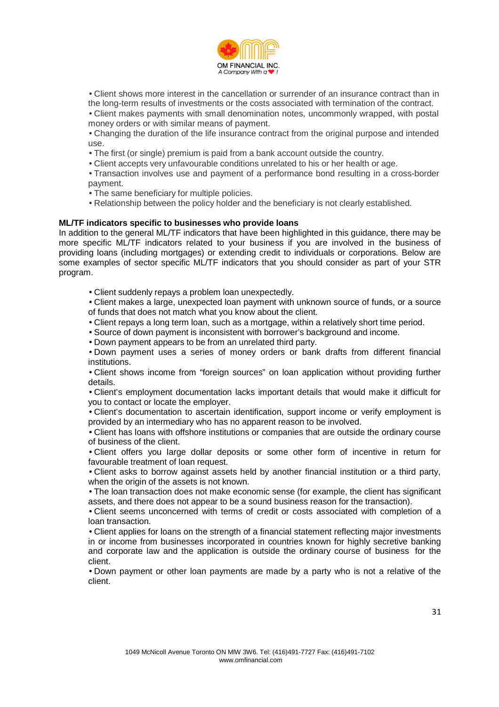

• Client shows more interest in the cancellation or surrender of an insurance contract than in the long-term results of investments or the costs associated with termination of the contract.

• Client makes payments with small denomination notes, uncommonly wrapped, with postal money orders or with similar means of payment.

• Changing the duration of the life insurance contract from the original purpose and intended use.

- The first (or single) premium is paid from a bank account outside the country.
- Client accepts very unfavourable conditions unrelated to his or her health or age.

• Transaction involves use and payment of a performance bond resulting in a cross-border payment.

- The same beneficiary for multiple policies.
- Relationship between the policy holder and the beneficiary is not clearly established.

#### **ML/TF indicators specific to businesses who provide loans**

In addition to the general ML/TF indicators that have been highlighted in this guidance, there may be more specific ML/TF indicators related to your business if you are involved in the business of providing loans (including mortgages) or extending credit to individuals or corporations. Below are some examples of sector specific ML/TF indicators that you should consider as part of your STR program.

• Client suddenly repays a problem loan unexpectedly.

• Client makes a large, unexpected loan payment with unknown source of funds, or a source of funds that does not match what you know about the client.

- Client repays a long term loan, such as a mortgage, within a relatively short time period.
- Source of down payment is inconsistent with borrower's background and income.
- Down payment appears to be from an unrelated third party.

• Down payment uses a series of money orders or bank drafts from different financial institutions.

• Client shows income from "foreign sources" on loan application without providing further details.

• Client's employment documentation lacks important details that would make it difficult for you to contact or locate the employer.

• Client's documentation to ascertain identification, support income or verify employment is provided by an intermediary who has no apparent reason to be involved.

• Client has loans with offshore institutions or companies that are outside the ordinary course of business of the client.

• Client offers you large dollar deposits or some other form of incentive in return for favourable treatment of loan request.

• Client asks to borrow against assets held by another financial institution or a third party, when the origin of the assets is not known.

• The loan transaction does not make economic sense (for example, the client has significant assets, and there does not appear to be a sound business reason for the transaction).

• Client seems unconcerned with terms of credit or costs associated with completion of a loan transaction.

• Client applies for loans on the strength of a financial statement reflecting major investments in or income from businesses incorporated in countries known for highly secretive banking and corporate law and the application is outside the ordinary course of business for the client.

• Down payment or other loan payments are made by a party who is not a relative of the client.

31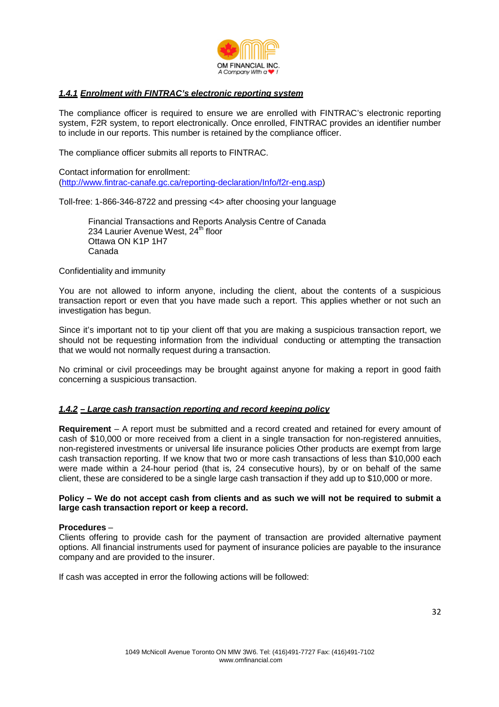

#### **1.4.1 Enrolment with FINTRAC's electronic reporting system**

The compliance officer is required to ensure we are enrolled with FINTRAC's electronic reporting system, F2R system, to report electronically. Once enrolled, FINTRAC provides an identifier number to include in our reports. This number is retained by the compliance officer.

The compliance officer submits all reports to FINTRAC.

Contact information for enrollment: (http://www.fintrac-canafe.gc.ca/reporting-declaration/Info/f2r-eng.asp)

Toll-free: 1-866-346-8722 and pressing <4> after choosing your language

Financial Transactions and Reports Analysis Centre of Canada 234 Laurier Avenue West, 24<sup>th</sup> floor Ottawa ON K1P 1H7 Canada

Confidentiality and immunity

You are not allowed to inform anyone, including the client, about the contents of a suspicious transaction report or even that you have made such a report. This applies whether or not such an investigation has begun.

Since it's important not to tip your client off that you are making a suspicious transaction report, we should not be requesting information from the individual conducting or attempting the transaction that we would not normally request during a transaction.

No criminal or civil proceedings may be brought against anyone for making a report in good faith concerning a suspicious transaction.

#### **1.4.2 – Large cash transaction reporting and record keeping policy**

**Requirement** – A report must be submitted and a record created and retained for every amount of cash of \$10,000 or more received from a client in a single transaction for non-registered annuities, non-registered investments or universal life insurance policies Other products are exempt from large cash transaction reporting. If we know that two or more cash transactions of less than \$10,000 each were made within a 24-hour period (that is, 24 consecutive hours), by or on behalf of the same client, these are considered to be a single large cash transaction if they add up to \$10,000 or more.

#### **Policy – We do not accept cash from clients and as such we will not be required to submit a large cash transaction report or keep a record.**

#### **Procedures** –

Clients offering to provide cash for the payment of transaction are provided alternative payment options. All financial instruments used for payment of insurance policies are payable to the insurance company and are provided to the insurer.

If cash was accepted in error the following actions will be followed: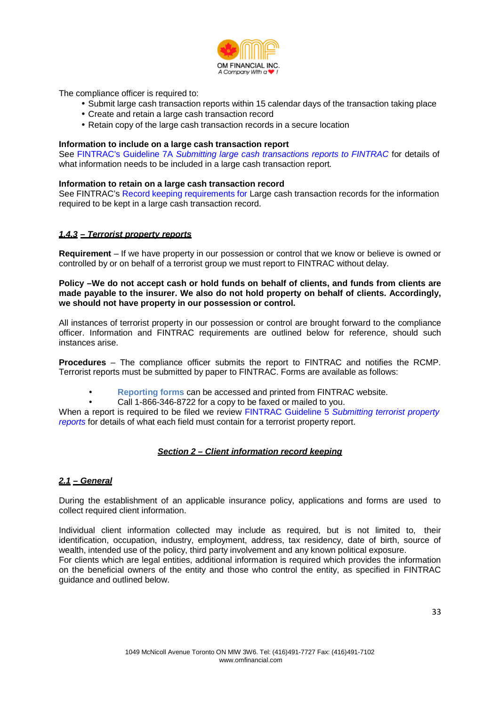

The compliance officer is required to:

- Submit large cash transaction reports within 15 calendar days of the transaction taking place
- Create and retain a large cash transaction record
- Retain copy of the large cash transaction records in a secure location

#### **Information to include on a large cash transaction report**

See FINTRAC's Guideline 7A Submitting large cash transactions reports to FINTRAC for details of what information needs to be included in a large cash transaction report.

#### **Information to retain on a large cash transaction record**

See FINTRAC's Record keeping requirements for Large cash transaction records for the information required to be kept in a large cash transaction record.

#### **1.4.3 – Terrorist property reports**

**Requirement** – If we have property in our possession or control that we know or believe is owned or controlled by or on behalf of a terrorist group we must report to FINTRAC without delay.

**Policy –We do not accept cash or hold funds on behalf of clients, and funds from clients are made payable to the insurer. We also do not hold property on behalf of clients. Accordingly, we should not have property in our possession or control.** 

All instances of terrorist property in our possession or control are brought forward to the compliance officer. Information and FINTRAC requirements are outlined below for reference, should such instances arise.

**Procedures** – The compliance officer submits the report to FINTRAC and notifies the RCMP. Terrorist reports must be submitted by paper to FINTRAC. Forms are available as follows:

- **Reporting forms** can be accessed and printed from FINTRAC website.
- Call 1-866-346-8722 for a copy to be faxed or mailed to you.

When a report is required to be filed we review FINTRAC Guideline 5 Submitting terrorist property reports for details of what each field must contain for a terrorist property report.

#### **Section 2 – Client information record keeping**

#### **2.1 – General**

During the establishment of an applicable insurance policy, applications and forms are used to collect required client information.

Individual client information collected may include as required, but is not limited to, their identification, occupation, industry, employment, address, tax residency, date of birth, source of wealth, intended use of the policy, third party involvement and any known political exposure. For clients which are legal entities, additional information is required which provides the information on the beneficial owners of the entity and those who control the entity, as specified in FINTRAC guidance and outlined below.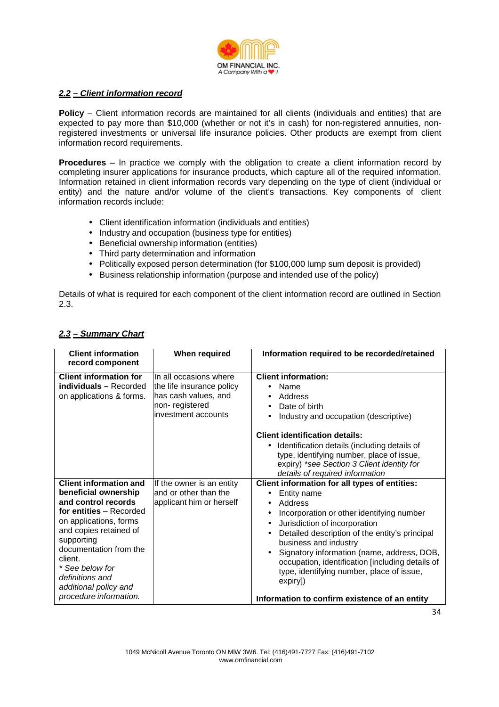

#### **2.2 – Client information record**

**Policy** – Client information records are maintained for all clients (individuals and entities) that are expected to pay more than \$10,000 (whether or not it's in cash) for non-registered annuities, nonregistered investments or universal life insurance policies. Other products are exempt from client information record requirements.

**Procedures** – In practice we comply with the obligation to create a client information record by completing insurer applications for insurance products, which capture all of the required information. Information retained in client information records vary depending on the type of client (individual or entity) and the nature and/or volume of the client's transactions. Key components of client information records include:

- Client identification information (individuals and entities)
- Industry and occupation (business type for entities)
- Beneficial ownership information (entities)
- Third party determination and information
- Politically exposed person determination (for \$100,000 lump sum deposit is provided)
- Business relationship information (purpose and intended use of the policy)

Details of what is required for each component of the client information record are outlined in Section 2.3.

| <b>Client information</b><br>record component                                                                                                                                                                                                                                                           | When required                                                                                                         | Information required to be recorded/retained                                                                                                                                                                                                                                                                                                                                                                                                 |
|---------------------------------------------------------------------------------------------------------------------------------------------------------------------------------------------------------------------------------------------------------------------------------------------------------|-----------------------------------------------------------------------------------------------------------------------|----------------------------------------------------------------------------------------------------------------------------------------------------------------------------------------------------------------------------------------------------------------------------------------------------------------------------------------------------------------------------------------------------------------------------------------------|
| <b>Client information for</b><br>individuals - Recorded<br>on applications & forms.                                                                                                                                                                                                                     | In all occasions where<br>the life insurance policy<br>has cash values, and<br>non-registered<br>linvestment accounts | <b>Client information:</b><br>Name<br>$\bullet$<br>Address<br>$\bullet$<br>Date of birth<br>Industry and occupation (descriptive)<br><b>Client identification details:</b><br>Identification details (including details of<br>type, identifying number, place of issue,<br>expiry) *see Section 3 Client identity for<br>details of required information                                                                                     |
| <b>Client information and</b><br>beneficial ownership<br>and control records<br>for entities - Recorded<br>on applications, forms<br>and copies retained of<br>supporting<br>documentation from the<br>client.<br>* See below for<br>definitions and<br>additional policy and<br>procedure information. | If the owner is an entity<br>and or other than the<br>applicant him or herself                                        | Client information for all types of entities:<br>Entity name<br>Address<br>Incorporation or other identifying number<br>Jurisdiction of incorporation<br>Detailed description of the entity's principal<br>business and industry<br>Signatory information (name, address, DOB,<br>occupation, identification [including details of<br>type, identifying number, place of issue,<br>expiry])<br>Information to confirm existence of an entity |

#### **2.3 – Summary Chart**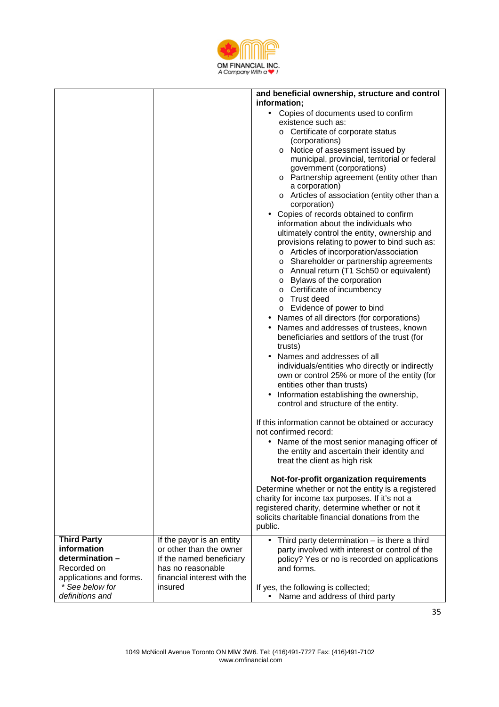

| <b>Third Party</b><br>If the payor is an entity<br>• Third party determination $-$ is there a third<br>information<br>or other than the owner<br>party involved with interest or control of the<br>determination -<br>If the named beneficiary<br>policy? Yes or no is recorded on applications<br>has no reasonable<br>Recorded on<br>and forms.<br>applications and forms.<br>financial interest with the<br>* See below for<br>insured<br>If yes, the following is collected; |                 | and beneficial ownership, structure and control<br>information;<br>Copies of documents used to confirm<br>existence such as:<br>o Certificate of corporate status<br>(corporations)<br>o Notice of assessment issued by<br>municipal, provincial, territorial or federal<br>government (corporations)<br>o Partnership agreement (entity other than<br>a corporation)<br>o Articles of association (entity other than a<br>corporation)<br>Copies of records obtained to confirm<br>information about the individuals who<br>ultimately control the entity, ownership and<br>provisions relating to power to bind such as:<br>o Articles of incorporation/association<br>o Shareholder or partnership agreements<br>o Annual return (T1 Sch50 or equivalent)<br>o Bylaws of the corporation<br>o Certificate of incumbency<br>o Trust deed<br>o Evidence of power to bind<br>Names of all directors (for corporations)<br>Names and addresses of trustees, known<br>beneficiaries and settlors of the trust (for<br>trusts)<br>Names and addresses of all<br>individuals/entities who directly or indirectly<br>own or control 25% or more of the entity (for<br>entities other than trusts)<br>Information establishing the ownership,<br>control and structure of the entity.<br>If this information cannot be obtained or accuracy<br>not confirmed record:<br>• Name of the most senior managing officer of<br>the entity and ascertain their identity and<br>treat the client as high risk<br>Not-for-profit organization requirements<br>Determine whether or not the entity is a registered<br>charity for income tax purposes. If it's not a<br>registered charity, determine whether or not it<br>solicits charitable financial donations from the |
|----------------------------------------------------------------------------------------------------------------------------------------------------------------------------------------------------------------------------------------------------------------------------------------------------------------------------------------------------------------------------------------------------------------------------------------------------------------------------------|-----------------|-------------------------------------------------------------------------------------------------------------------------------------------------------------------------------------------------------------------------------------------------------------------------------------------------------------------------------------------------------------------------------------------------------------------------------------------------------------------------------------------------------------------------------------------------------------------------------------------------------------------------------------------------------------------------------------------------------------------------------------------------------------------------------------------------------------------------------------------------------------------------------------------------------------------------------------------------------------------------------------------------------------------------------------------------------------------------------------------------------------------------------------------------------------------------------------------------------------------------------------------------------------------------------------------------------------------------------------------------------------------------------------------------------------------------------------------------------------------------------------------------------------------------------------------------------------------------------------------------------------------------------------------------------------------------------------------------------------------------------------------------------------|
|                                                                                                                                                                                                                                                                                                                                                                                                                                                                                  |                 | public.                                                                                                                                                                                                                                                                                                                                                                                                                                                                                                                                                                                                                                                                                                                                                                                                                                                                                                                                                                                                                                                                                                                                                                                                                                                                                                                                                                                                                                                                                                                                                                                                                                                                                                                                                     |
|                                                                                                                                                                                                                                                                                                                                                                                                                                                                                  | definitions and | Name and address of third party                                                                                                                                                                                                                                                                                                                                                                                                                                                                                                                                                                                                                                                                                                                                                                                                                                                                                                                                                                                                                                                                                                                                                                                                                                                                                                                                                                                                                                                                                                                                                                                                                                                                                                                             |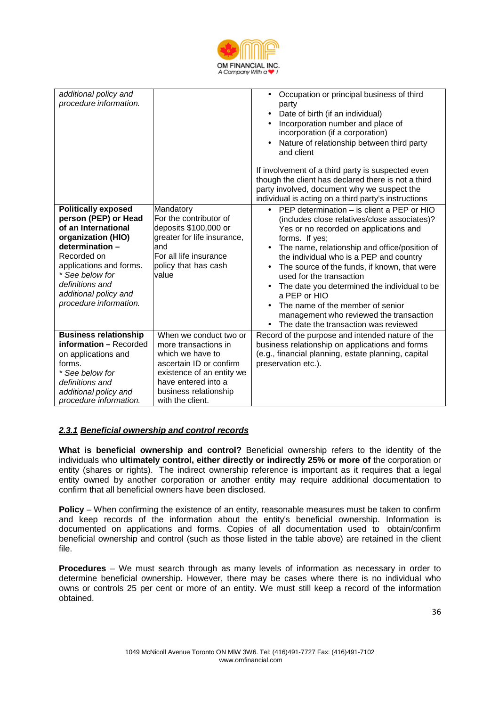

| additional policy and<br>procedure information.                                                                                                                                                                                                       |                                                                                                                                                                                                | Occupation or principal business of third<br>$\bullet$<br>party<br>Date of birth (if an individual)<br>Incorporation number and place of<br>incorporation (if a corporation)<br>Nature of relationship between third party<br>and client<br>If involvement of a third party is suspected even<br>though the client has declared there is not a third<br>party involved, document why we suspect the<br>individual is acting on a third party's instructions                                                                         |
|-------------------------------------------------------------------------------------------------------------------------------------------------------------------------------------------------------------------------------------------------------|------------------------------------------------------------------------------------------------------------------------------------------------------------------------------------------------|-------------------------------------------------------------------------------------------------------------------------------------------------------------------------------------------------------------------------------------------------------------------------------------------------------------------------------------------------------------------------------------------------------------------------------------------------------------------------------------------------------------------------------------|
| <b>Politically exposed</b><br>person (PEP) or Head<br>of an International<br>organization (HIO)<br>determination -<br>Recorded on<br>applications and forms.<br>* See below for<br>definitions and<br>additional policy and<br>procedure information. | Mandatory<br>For the contributor of<br>deposits \$100,000 or<br>greater for life insurance,<br>and<br>For all life insurance<br>policy that has cash<br>value                                  | PEP determination - is client a PEP or HIO<br>$\bullet$<br>(includes close relatives/close associates)?<br>Yes or no recorded on applications and<br>forms. If yes;<br>The name, relationship and office/position of<br>the individual who is a PEP and country<br>The source of the funds, if known, that were<br>used for the transaction<br>The date you determined the individual to be<br>a PEP or HIO<br>The name of the member of senior<br>management who reviewed the transaction<br>The date the transaction was reviewed |
| <b>Business relationship</b><br>information - Recorded<br>on applications and<br>forms.<br>* See below for<br>definitions and<br>additional policy and<br>procedure information.                                                                      | When we conduct two or<br>more transactions in<br>which we have to<br>ascertain ID or confirm<br>existence of an entity we<br>have entered into a<br>business relationship<br>with the client. | Record of the purpose and intended nature of the<br>business relationship on applications and forms<br>(e.g., financial planning, estate planning, capital<br>preservation etc.).                                                                                                                                                                                                                                                                                                                                                   |

#### **2.3.1 Beneficial ownership and control records**

**What is beneficial ownership and control?** Beneficial ownership refers to the identity of the individuals who **ultimately control, either directly or indirectly 25% or more of** the corporation or entity (shares or rights). The indirect ownership reference is important as it requires that a legal entity owned by another corporation or another entity may require additional documentation to confirm that all beneficial owners have been disclosed.

**Policy** – When confirming the existence of an entity, reasonable measures must be taken to confirm and keep records of the information about the entity's beneficial ownership. Information is documented on applications and forms. Copies of all documentation used to obtain/confirm beneficial ownership and control (such as those listed in the table above) are retained in the client file.

**Procedures** – We must search through as many levels of information as necessary in order to determine beneficial ownership. However, there may be cases where there is no individual who owns or controls 25 per cent or more of an entity. We must still keep a record of the information obtained.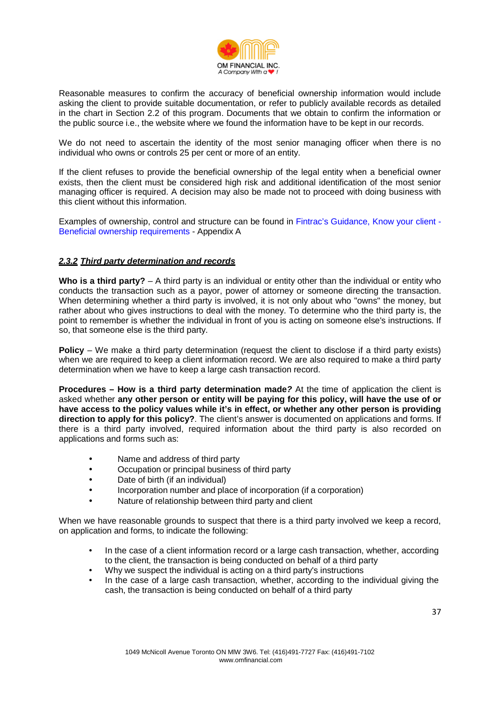

Reasonable measures to confirm the accuracy of beneficial ownership information would include asking the client to provide suitable documentation, or refer to publicly available records as detailed in the chart in Section 2.2 of this program. Documents that we obtain to confirm the information or the public source i.e., the website where we found the information have to be kept in our records.

We do not need to ascertain the identity of the most senior managing officer when there is no individual who owns or controls 25 per cent or more of an entity.

If the client refuses to provide the beneficial ownership of the legal entity when a beneficial owner exists, then the client must be considered high risk and additional identification of the most senior managing officer is required. A decision may also be made not to proceed with doing business with this client without this information.

Examples of ownership, control and structure can be found in Fintrac's Guidance, Know your client - Beneficial ownership requirements - Appendix A

#### **2.3.2 Third party determination and records**

**Who is a third party?** – A third party is an individual or entity other than the individual or entity who conducts the transaction such as a payor, power of attorney or someone directing the transaction. When determining whether a third party is involved, it is not only about who "owns" the money, but rather about who gives instructions to deal with the money. To determine who the third party is, the point to remember is whether the individual in front of you is acting on someone else's instructions. If so, that someone else is the third party.

**Policy** – We make a third party determination (request the client to disclose if a third party exists) when we are required to keep a client information record. We are also required to make a third party determination when we have to keep a large cash transaction record.

**Procedures – How is a third party determination made?** At the time of application the client is asked whether **any other person or entity will be paying for this policy, will have the use of or have access to the policy values while it's in effect, or whether any other person is providing direction to apply for this policy?**. The client's answer is documented on applications and forms. If there is a third party involved, required information about the third party is also recorded on applications and forms such as:

- Name and address of third party
- Occupation or principal business of third party
- Date of birth (if an individual)
- Incorporation number and place of incorporation (if a corporation)
- Nature of relationship between third party and client

When we have reasonable grounds to suspect that there is a third party involved we keep a record, on application and forms, to indicate the following:

- In the case of a client information record or a large cash transaction, whether, according to the client, the transaction is being conducted on behalf of a third party
- Why we suspect the individual is acting on a third party's instructions
- In the case of a large cash transaction, whether, according to the individual giving the cash, the transaction is being conducted on behalf of a third party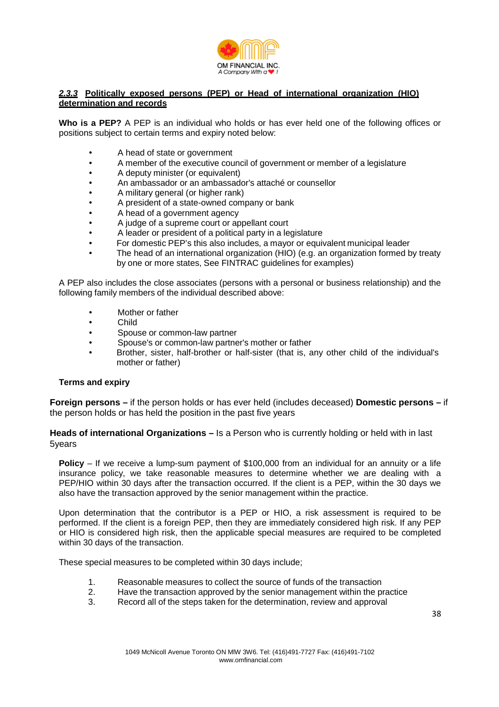

#### **2.3.3 Politically exposed persons (PEP) or Head of international organization (HIO) determination and records**

**Who is a PEP?** A PEP is an individual who holds or has ever held one of the following offices or positions subject to certain terms and expiry noted below:

- A head of state or government
- A member of the executive council of government or member of a legislature
- A deputy minister (or equivalent)
- An ambassador or an ambassador's attaché or counsellor
- A military general (or higher rank)
- A president of a state-owned company or bank
- A head of a government agency
- A judge of a supreme court or appellant court
- A leader or president of a political party in a legislature
- For domestic PEP's this also includes, a mayor or equivalent municipal leader
- The head of an international organization (HIO) (e.g. an organization formed by treaty by one or more states, See FINTRAC guidelines for examples)

A PEP also includes the close associates (persons with a personal or business relationship) and the following family members of the individual described above:

- Mother or father
- Child
- Spouse or common-law partner
- Spouse's or common-law partner's mother or father
- Brother, sister, half-brother or half-sister (that is, any other child of the individual's mother or father)

#### **Terms and expiry**

**Foreign persons –** if the person holds or has ever held (includes deceased) **Domestic persons –** if the person holds or has held the position in the past five years

**Heads of international Organizations –** Is a Person who is currently holding or held with in last 5years

**Policy** – If we receive a lump-sum payment of \$100,000 from an individual for an annuity or a life insurance policy, we take reasonable measures to determine whether we are dealing with a PEP/HIO within 30 days after the transaction occurred. If the client is a PEP, within the 30 days we also have the transaction approved by the senior management within the practice.

Upon determination that the contributor is a PEP or HIO, a risk assessment is required to be performed. If the client is a foreign PEP, then they are immediately considered high risk. If any PEP or HIO is considered high risk, then the applicable special measures are required to be completed within 30 days of the transaction.

These special measures to be completed within 30 days include;

- 1. Reasonable measures to collect the source of funds of the transaction
- 2. Have the transaction approved by the senior management within the practice
- 3. Record all of the steps taken for the determination, review and approval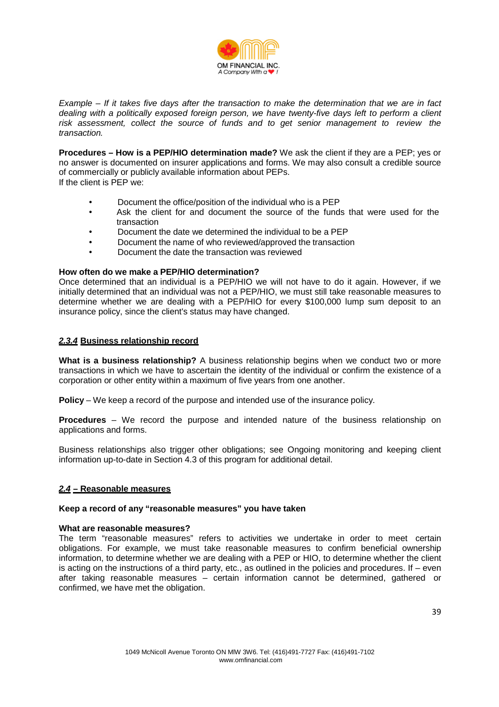

Example – If it takes five days after the transaction to make the determination that we are in fact dealing with a politically exposed foreign person, we have twenty-five days left to perform a client risk assessment, collect the source of funds and to get senior management to review the transaction.

**Procedures – How is a PEP/HIO determination made?** We ask the client if they are a PEP; yes or no answer is documented on insurer applications and forms. We may also consult a credible source of commercially or publicly available information about PEPs. If the client is PEP we:

- Document the office/position of the individual who is a PEP
- Ask the client for and document the source of the funds that were used for the transaction
- Document the date we determined the individual to be a PEP
- Document the name of who reviewed/approved the transaction
- Document the date the transaction was reviewed

#### **How often do we make a PEP/HIO determination?**

Once determined that an individual is a PEP/HIO we will not have to do it again. However, if we initially determined that an individual was not a PEP/HIO, we must still take reasonable measures to determine whether we are dealing with a PEP/HIO for every \$100,000 lump sum deposit to an insurance policy, since the client's status may have changed.

#### **2.3.4 Business relationship record**

**What is a business relationship?** A business relationship begins when we conduct two or more transactions in which we have to ascertain the identity of the individual or confirm the existence of a corporation or other entity within a maximum of five years from one another.

**Policy** – We keep a record of the purpose and intended use of the insurance policy.

**Procedures** – We record the purpose and intended nature of the business relationship on applications and forms.

Business relationships also trigger other obligations; see Ongoing monitoring and keeping client information up-to-date in Section 4.3 of this program for additional detail.

#### **2.4 – Reasonable measures**

#### **Keep a record of any "reasonable measures" you have taken**

#### **What are reasonable measures?**

The term "reasonable measures" refers to activities we undertake in order to meet certain obligations. For example, we must take reasonable measures to confirm beneficial ownership information, to determine whether we are dealing with a PEP or HIO, to determine whether the client is acting on the instructions of a third party, etc., as outlined in the policies and procedures. If – even after taking reasonable measures – certain information cannot be determined, gathered or confirmed, we have met the obligation.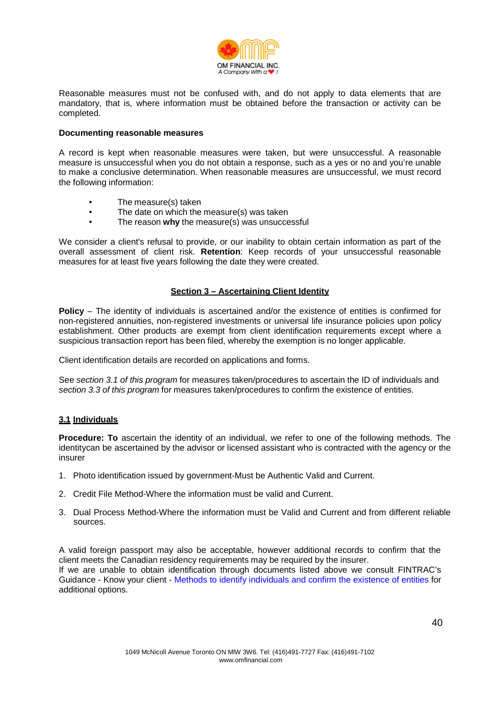

Reasonable measures must not be confused with, and do not apply to data elements that are mandatory, that is, where information must be obtained before the transaction or activity can be completed.

#### **Documenting reasonable measures**

A record is kept when reasonable measures were taken, but were unsuccessful. A reasonable measure is unsuccessful when you do not obtain a response, such as a yes or no and you're unable to make a conclusive determination. When reasonable measures are unsuccessful, we must record the following information:

- The measure(s) taken
- The date on which the measure(s) was taken
- The reason **why** the measure(s) was unsuccessful

We consider a client's refusal to provide, or our inability to obtain certain information as part of the overall assessment of client risk. **Retention**: Keep records of your unsuccessful reasonable measures for at least five years following the date they were created.

#### **Section 3 – Ascertaining Client Identity**

**Policy** – The identity of individuals is ascertained and/or the existence of entities is confirmed for non-registered annuities, non-registered investments or universal life insurance policies upon policy establishment. Other products are exempt from client identification requirements except where a suspicious transaction report has been filed, whereby the exemption is no longer applicable.

Client identification details are recorded on applications and forms.

See section 3.1 of this program for measures taken/procedures to ascertain the ID of individuals and section 3.3 of this program for measures taken/procedures to confirm the existence of entities.

#### **3.1 Individuals**

**Procedure: To** ascertain the identity of an individual, we refer to one of the following methods. The identity can be ascertained by the advisor or licensed assistant who is contracted with the agency or the insurer

- 1. Photo identification issued by government-Must be Authentic Valid and Current.
- 2. Credit File Method-Where the information must be valid and Current.
- 3. Dual Process Method-Where the information must be Valid and Current and from different reliable sources.

A valid foreign passport may also be acceptable, however additional records to confirm that the client meets the Canadian residency requirements may be required by the insurer. If we are unable to obtain identification through documents listed above we consult FINTRAC's Guidance - Know your client - Methods to identify individuals and confirm the existence of entities for additional options.

40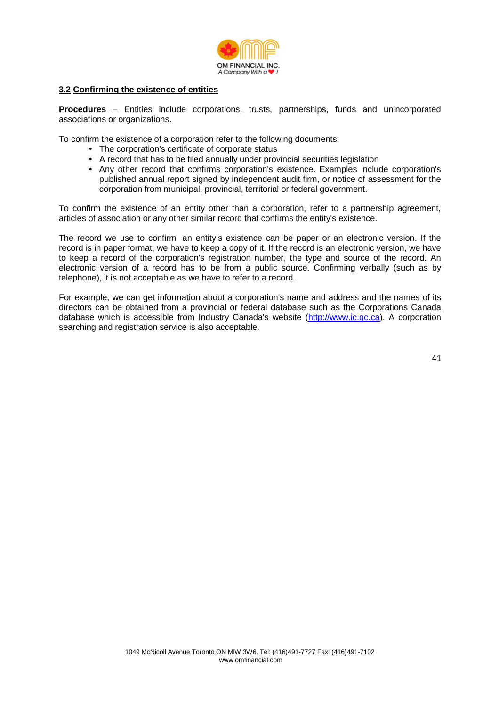

#### **3.2 Confirming the existence of entities**

**Procedures** – Entities include corporations, trusts, partnerships, funds and unincorporated associations or organizations.

To confirm the existence of a corporation refer to the following documents:

- The corporation's certificate of corporate status
- A record that has to be filed annually under provincial securities legislation
- Any other record that confirms corporation's existence. Examples include corporation's published annual report signed by independent audit firm, or notice of assessment for the corporation from municipal, provincial, territorial or federal government.

To confirm the existence of an entity other than a corporation, refer to a partnership agreement, articles of association or any other similar record that confirms the entity's existence.

The record we use to confirm an entity's existence can be paper or an electronic version. If the record is in paper format, we have to keep a copy of it. If the record is an electronic version, we have to keep a record of the corporation's registration number, the type and source of the record. An electronic version of a record has to be from a public source. Confirming verbally (such as by telephone), it is not acceptable as we have to refer to a record.

For example, we can get information about a corporation's name and address and the names of its directors can be obtained from a provincial or federal database such as the Corporations Canada database which is accessible from Industry Canada's website (http://www.ic.gc.ca). A corporation searching and registration service is also acceptable.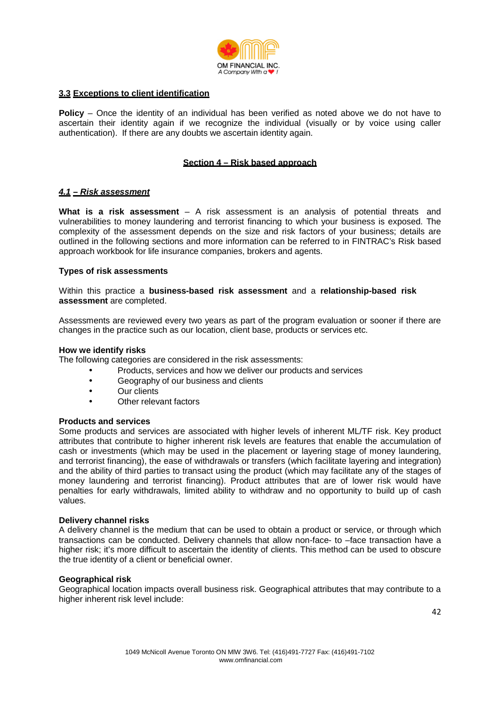

#### **3.3 Exceptions to client identification**

**Policy** – Once the identity of an individual has been verified as noted above we do not have to ascertain their identity again if we recognize the individual (visually or by voice using caller authentication). If there are any doubts we ascertain identity again.

#### **Section 4 – Risk based approach**

#### **4.1 – Risk assessment**

What is a risk assessment – A risk assessment is an analysis of potential threats and vulnerabilities to money laundering and terrorist financing to which your business is exposed. The complexity of the assessment depends on the size and risk factors of your business; details are outlined in the following sections and more information can be referred to in FINTRAC's Risk based approach workbook for life insurance companies, brokers and agents.

#### **Types of risk assessments**

Within this practice a **business-based risk assessment** and a **relationship-based risk assessment** are completed.

Assessments are reviewed every two years as part of the program evaluation or sooner if there are changes in the practice such as our location, client base, products or services etc.

#### **How we identify risks**

The following categories are considered in the risk assessments:

- Products, services and how we deliver our products and services
- Geography of our business and clients
- Our clients
- Other relevant factors

#### **Products and services**

Some products and services are associated with higher levels of inherent ML/TF risk. Key product attributes that contribute to higher inherent risk levels are features that enable the accumulation of cash or investments (which may be used in the placement or layering stage of money laundering, and terrorist financing), the ease of withdrawals or transfers (which facilitate layering and integration) and the ability of third parties to transact using the product (which may facilitate any of the stages of money laundering and terrorist financing). Product attributes that are of lower risk would have penalties for early withdrawals, limited ability to withdraw and no opportunity to build up of cash values.

#### **Delivery channel risks**

A delivery channel is the medium that can be used to obtain a product or service, or through which transactions can be conducted. Delivery channels that allow non-face- to –face transaction have a higher risk; it's more difficult to ascertain the identity of clients. This method can be used to obscure the true identity of a client or beneficial owner.

#### **Geographical risk**

Geographical location impacts overall business risk. Geographical attributes that may contribute to a higher inherent risk level include: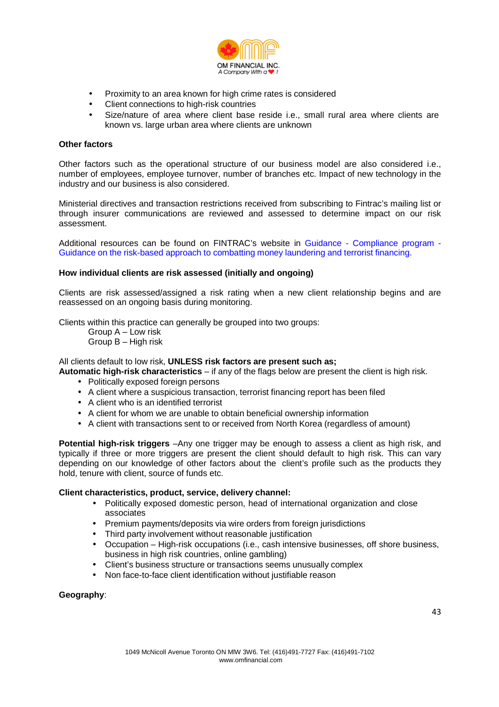

- Proximity to an area known for high crime rates is considered
- Client connections to high-risk countries
- Size/nature of area where client base reside i.e., small rural area where clients are known vs. large urban area where clients are unknown

#### **Other factors**

Other factors such as the operational structure of our business model are also considered i.e., number of employees, employee turnover, number of branches etc. Impact of new technology in the industry and our business is also considered.

Ministerial directives and transaction restrictions received from subscribing to Fintrac's mailing list or through insurer communications are reviewed and assessed to determine impact on our risk assessment.

Additional resources can be found on FINTRAC's website in Guidance - Compliance program -Guidance on the risk-based approach to combatting money laundering and terrorist financing.

#### **How individual clients are risk assessed (initially and ongoing)**

Clients are risk assessed/assigned a risk rating when a new client relationship begins and are reassessed on an ongoing basis during monitoring.

Clients within this practice can generally be grouped into two groups:

Group A – Low risk

Group B – High risk

#### All clients default to low risk, **UNLESS risk factors are present such as;**

**Automatic high-risk characteristics** – if any of the flags below are present the client is high risk.

- Politically exposed foreign persons
- A client where a suspicious transaction, terrorist financing report has been filed
- A client who is an identified terrorist
- A client for whom we are unable to obtain beneficial ownership information
- A client with transactions sent to or received from North Korea (regardless of amount)

**Potential high-risk triggers** -Any one trigger may be enough to assess a client as high risk, and typically if three or more triggers are present the client should default to high risk. This can vary depending on our knowledge of other factors about the client's profile such as the products they hold, tenure with client, source of funds etc.

#### **Client characteristics, product, service, delivery channel:**

- Politically exposed domestic person, head of international organization and close associates
- Premium payments/deposits via wire orders from foreign jurisdictions
- Third party involvement without reasonable justification
- Occupation High-risk occupations (i.e., cash intensive businesses, off shore business, business in high risk countries, online gambling)
- Client's business structure or transactions seems unusually complex
- Non face-to-face client identification without justifiable reason

#### **Geography**: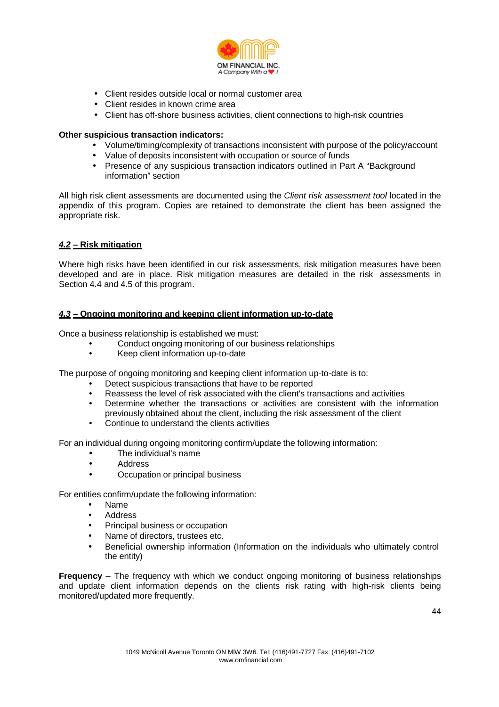

- Client resides outside local or normal customer area
- Client resides in known crime area
- Client has off-shore business activities, client connections to high-risk countries

#### **Other suspicious transaction indicators:**

- Volume/timing/complexity of transactions inconsistent with purpose of the policy/account
- Value of deposits inconsistent with occupation or source of funds
- Presence of any suspicious transaction indicators outlined in Part A "Background information" section

All high risk client assessments are documented using the *Client risk assessment tool* located in the appendix of this program. Copies are retained to demonstrate the client has been assigned the appropriate risk.

#### **4.2 – Risk mitigation**

Where high risks have been identified in our risk assessments, risk mitigation measures have been developed and are in place. Risk mitigation measures are detailed in the risk assessments in Section 4.4 and 4.5 of this program.

#### **4.3 – Ongoing monitoring and keeping client information up-to-date**

Once a business relationship is established we must:

- Conduct ongoing monitoring of our business relationships
- Keep client information up-to-date

The purpose of ongoing monitoring and keeping client information up-to-date is to:

- Detect suspicious transactions that have to be reported
- Reassess the level of risk associated with the client's transactions and activities
- Determine whether the transactions or activities are consistent with the information previously obtained about the client, including the risk assessment of the client
- Continue to understand the clients activities

For an individual during ongoing monitoring confirm/update the following information:

- The individual's name
- Address
- Occupation or principal business

For entities confirm/update the following information:

- Name
- Address
- Principal business or occupation
- Name of directors, trustees etc.
- Beneficial ownership information (Information on the individuals who ultimately control the entity)

**Frequency** – The frequency with which we conduct ongoing monitoring of business relationships and update client information depends on the clients risk rating with high-risk clients being monitored/updated more frequently.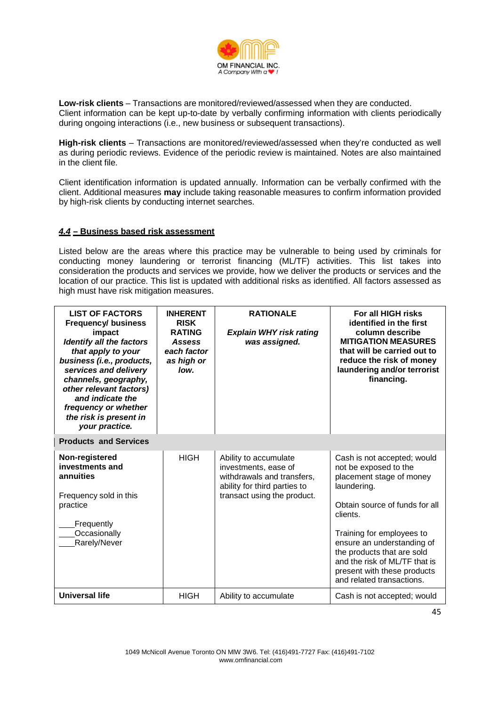

**Low-risk clients** – Transactions are monitored/reviewed/assessed when they are conducted. Client information can be kept up-to-date by verbally confirming information with clients periodically during ongoing interactions (i.e., new business or subsequent transactions).

**High-risk clients** – Transactions are monitored/reviewed/assessed when they're conducted as well as during periodic reviews. Evidence of the periodic review is maintained. Notes are also maintained in the client file.

Client identification information is updated annually. Information can be verbally confirmed with the client. Additional measures **may** include taking reasonable measures to confirm information provided by high-risk clients by conducting internet searches.

#### **4.4 – Business based risk assessment**

Listed below are the areas where this practice may be vulnerable to being used by criminals for conducting money laundering or terrorist financing (ML/TF) activities. This list takes into consideration the products and services we provide, how we deliver the products or services and the location of our practice. This list is updated with additional risks as identified. All factors assessed as high must have risk mitigation measures.

| <b>LIST OF FACTORS</b><br><b>Frequency/ business</b><br>impact<br><b>Identify all the factors</b><br>that apply to your<br>business (i.e., products,<br>services and delivery<br>channels, geography,<br>other relevant factors)<br>and indicate the<br>frequency or whether<br>the risk is present in<br>your practice. | <b>INHERENT</b><br><b>RISK</b><br><b>RATING</b><br><b>Assess</b><br>each factor<br>as high or<br>low. | <b>RATIONALE</b><br><b>Explain WHY risk rating</b><br>was assigned.                                                                        | For all HIGH risks<br>identified in the first<br>column describe<br><b>MITIGATION MEASURES</b><br>that will be carried out to<br>reduce the risk of money<br>laundering and/or terrorist<br>financing.                                                                                                                              |
|--------------------------------------------------------------------------------------------------------------------------------------------------------------------------------------------------------------------------------------------------------------------------------------------------------------------------|-------------------------------------------------------------------------------------------------------|--------------------------------------------------------------------------------------------------------------------------------------------|-------------------------------------------------------------------------------------------------------------------------------------------------------------------------------------------------------------------------------------------------------------------------------------------------------------------------------------|
| <b>Products and Services</b>                                                                                                                                                                                                                                                                                             |                                                                                                       |                                                                                                                                            |                                                                                                                                                                                                                                                                                                                                     |
| Non-registered<br>investments and<br>annuities<br>Frequency sold in this<br>practice<br>Frequently<br>Occasionally<br>Rarely/Never                                                                                                                                                                                       | <b>HIGH</b>                                                                                           | Ability to accumulate<br>investments, ease of<br>withdrawals and transfers.<br>ability for third parties to<br>transact using the product. | Cash is not accepted; would<br>not be exposed to the<br>placement stage of money<br>laundering.<br>Obtain source of funds for all<br>clients.<br>Training for employees to<br>ensure an understanding of<br>the products that are sold<br>and the risk of ML/TF that is<br>present with these products<br>and related transactions. |
| <b>Universal life</b>                                                                                                                                                                                                                                                                                                    | <b>HIGH</b>                                                                                           | Ability to accumulate                                                                                                                      | Cash is not accepted; would                                                                                                                                                                                                                                                                                                         |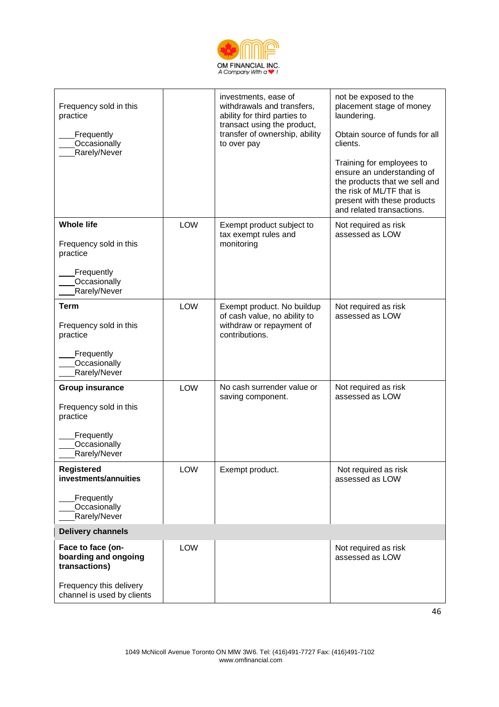

| Frequency sold in this<br>practice<br>Frequently<br>Occasionally<br>Rarely/Never                                    |            | investments, ease of<br>withdrawals and transfers,<br>ability for third parties to<br>transact using the product,<br>transfer of ownership, ability<br>to over pay | not be exposed to the<br>placement stage of money<br>laundering.<br>Obtain source of funds for all<br>clients.<br>Training for employees to<br>ensure an understanding of<br>the products that we sell and<br>the risk of ML/TF that is<br>present with these products<br>and related transactions. |
|---------------------------------------------------------------------------------------------------------------------|------------|--------------------------------------------------------------------------------------------------------------------------------------------------------------------|-----------------------------------------------------------------------------------------------------------------------------------------------------------------------------------------------------------------------------------------------------------------------------------------------------|
| <b>Whole life</b><br>Frequency sold in this<br>practice<br>Frequently<br>Occasionally<br>Rarely/Never               | <b>LOW</b> | Exempt product subject to<br>tax exempt rules and<br>monitoring                                                                                                    | Not required as risk<br>assessed as LOW                                                                                                                                                                                                                                                             |
| <b>Term</b><br>Frequency sold in this<br>practice<br>Frequently<br>Occasionally<br>Rarely/Never                     | <b>LOW</b> | Exempt product. No buildup<br>of cash value, no ability to<br>withdraw or repayment of<br>contributions.                                                           | Not required as risk<br>assessed as LOW                                                                                                                                                                                                                                                             |
| <b>Group insurance</b><br>Frequency sold in this<br>practice<br>Frequently<br>Occasionally<br>Rarely/Never          | <b>LOW</b> | No cash surrender value or<br>saving component.                                                                                                                    | Not required as risk<br>assessed as LOW                                                                                                                                                                                                                                                             |
| Registered<br>investments/annuities<br>Frequently<br>Occasionally<br>Rarely/Never                                   | LOW        | Exempt product.                                                                                                                                                    | Not required as risk<br>assessed as LOW                                                                                                                                                                                                                                                             |
| <b>Delivery channels</b>                                                                                            |            |                                                                                                                                                                    |                                                                                                                                                                                                                                                                                                     |
| Face to face (on-<br>boarding and ongoing<br>transactions)<br>Frequency this delivery<br>channel is used by clients | LOW        |                                                                                                                                                                    | Not required as risk<br>assessed as LOW                                                                                                                                                                                                                                                             |
|                                                                                                                     |            |                                                                                                                                                                    |                                                                                                                                                                                                                                                                                                     |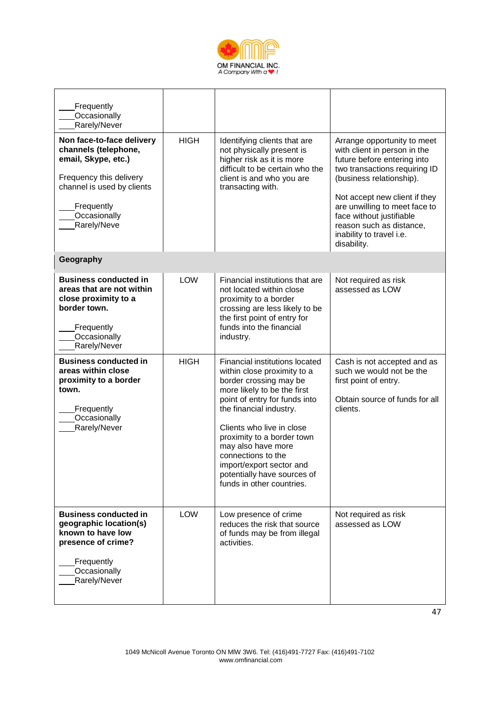

| Frequently<br>Occasionally<br>Rarely/Never                                                                                                                                     |             |                                                                                                                                                                                                                                                                                                                                                                                          |                                                                                                                                                                                                                                                                                                                              |
|--------------------------------------------------------------------------------------------------------------------------------------------------------------------------------|-------------|------------------------------------------------------------------------------------------------------------------------------------------------------------------------------------------------------------------------------------------------------------------------------------------------------------------------------------------------------------------------------------------|------------------------------------------------------------------------------------------------------------------------------------------------------------------------------------------------------------------------------------------------------------------------------------------------------------------------------|
| Non face-to-face delivery<br>channels (telephone,<br>email, Skype, etc.)<br>Frequency this delivery<br>channel is used by clients<br>Frequently<br>Occasionally<br>Rarely/Neve | <b>HIGH</b> | Identifying clients that are<br>not physically present is<br>higher risk as it is more<br>difficult to be certain who the<br>client is and who you are<br>transacting with.                                                                                                                                                                                                              | Arrange opportunity to meet<br>with client in person in the<br>future before entering into<br>two transactions requiring ID<br>(business relationship).<br>Not accept new client if they<br>are unwilling to meet face to<br>face without justifiable<br>reason such as distance,<br>inability to travel i.e.<br>disability. |
| Geography                                                                                                                                                                      |             |                                                                                                                                                                                                                                                                                                                                                                                          |                                                                                                                                                                                                                                                                                                                              |
| <b>Business conducted in</b><br>areas that are not within<br>close proximity to a<br>border town.<br>Frequently<br>Occasionally<br>Rarely/Never                                | LOW         | Financial institutions that are<br>not located within close<br>proximity to a border<br>crossing are less likely to be<br>the first point of entry for<br>funds into the financial<br>industry.                                                                                                                                                                                          | Not required as risk<br>assessed as LOW                                                                                                                                                                                                                                                                                      |
| <b>Business conducted in</b><br>areas within close<br>proximity to a border<br>town.<br>Frequently<br>Occasionally<br>Rarely/Never                                             | <b>HIGH</b> | <b>Financial institutions located</b><br>within close proximity to a<br>border crossing may be<br>more likely to be the first<br>point of entry for funds into<br>the financial industry.<br>Clients who live in close<br>proximity to a border town<br>may also have more<br>connections to the<br>import/export sector and<br>potentially have sources of<br>funds in other countries. | Cash is not accepted and as<br>such we would not be the<br>first point of entry.<br>Obtain source of funds for all<br>clients.                                                                                                                                                                                               |
| <b>Business conducted in</b><br>geographic location(s)<br>known to have low<br>presence of crime?<br>Frequently<br>Occasionally<br>Rarely/Never                                | <b>LOW</b>  | Low presence of crime<br>reduces the risk that source<br>of funds may be from illegal<br>activities.                                                                                                                                                                                                                                                                                     | Not required as risk<br>assessed as LOW                                                                                                                                                                                                                                                                                      |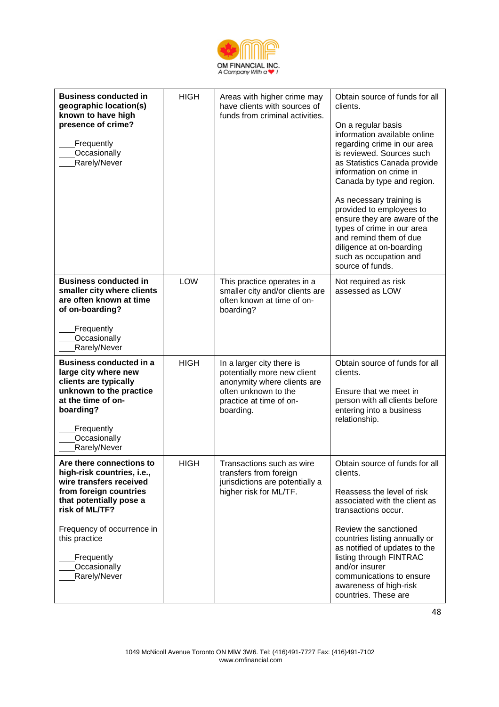

| <b>HIGH</b> | Areas with higher crime may<br>have clients with sources of<br>funds from criminal activities.                                                          | Obtain source of funds for all<br>clients.<br>On a regular basis<br>information available online<br>regarding crime in our area<br>is reviewed. Sources such<br>as Statistics Canada provide<br>information on crime in<br>Canada by type and region.<br>As necessary training is<br>provided to employees to<br>ensure they are aware of the<br>types of crime in our area<br>and remind them of due<br>diligence at on-boarding<br>such as occupation and<br>source of funds. |
|-------------|---------------------------------------------------------------------------------------------------------------------------------------------------------|---------------------------------------------------------------------------------------------------------------------------------------------------------------------------------------------------------------------------------------------------------------------------------------------------------------------------------------------------------------------------------------------------------------------------------------------------------------------------------|
| LOW         | This practice operates in a<br>smaller city and/or clients are<br>often known at time of on-<br>boarding?                                               | Not required as risk<br>assessed as LOW                                                                                                                                                                                                                                                                                                                                                                                                                                         |
| <b>HIGH</b> | In a larger city there is<br>potentially more new client<br>anonymity where clients are<br>often unknown to the<br>practice at time of on-<br>boarding. | Obtain source of funds for all<br>clients.<br>Ensure that we meet in<br>person with all clients before<br>entering into a business<br>relationship.                                                                                                                                                                                                                                                                                                                             |
| <b>HIGH</b> | Transactions such as wire<br>transfers from foreign<br>jurisdictions are potentially a<br>higher risk for ML/TF.                                        | Obtain source of funds for all<br>clients.<br>Reassess the level of risk<br>associated with the client as<br>transactions occur.<br>Review the sanctioned<br>countries listing annually or<br>as notified of updates to the<br>listing through FINTRAC<br>and/or insurer<br>communications to ensure<br>awareness of high-risk<br>countries. These are                                                                                                                          |
|             |                                                                                                                                                         |                                                                                                                                                                                                                                                                                                                                                                                                                                                                                 |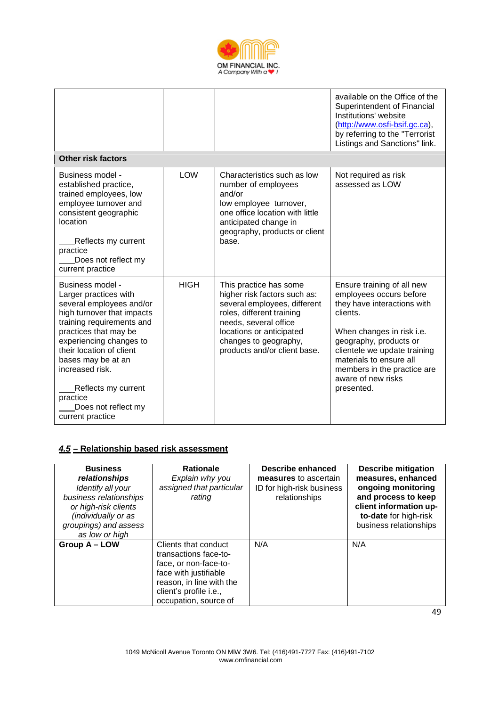

|                                                                                                                                                                                                                                                                                                                                         |             |                                                                                                                                                                                                                                   | available on the Office of the<br>Superintendent of Financial<br>Institutions' website<br>(http://www.osfi-bsif.gc.ca),<br>by referring to the "Terrorist<br>Listings and Sanctions" link.                                                                                            |
|-----------------------------------------------------------------------------------------------------------------------------------------------------------------------------------------------------------------------------------------------------------------------------------------------------------------------------------------|-------------|-----------------------------------------------------------------------------------------------------------------------------------------------------------------------------------------------------------------------------------|---------------------------------------------------------------------------------------------------------------------------------------------------------------------------------------------------------------------------------------------------------------------------------------|
| <b>Other risk factors</b>                                                                                                                                                                                                                                                                                                               |             |                                                                                                                                                                                                                                   |                                                                                                                                                                                                                                                                                       |
| Business model -<br>established practice,<br>trained employees, low<br>employee turnover and<br>consistent geographic<br>location<br>Reflects my current<br>practice<br>Does not reflect my<br>current practice                                                                                                                         | <b>LOW</b>  | Characteristics such as low<br>number of employees<br>and/or<br>low employee turnover,<br>one office location with little<br>anticipated change in<br>geography, products or client<br>base.                                      | Not required as risk<br>assessed as LOW                                                                                                                                                                                                                                               |
| Business model -<br>Larger practices with<br>several employees and/or<br>high turnover that impacts<br>training requirements and<br>practices that may be<br>experiencing changes to<br>their location of client<br>bases may be at an<br>increased risk.<br>Reflects my current<br>practice<br>Does not reflect my<br>current practice | <b>HIGH</b> | This practice has some<br>higher risk factors such as:<br>several employees, different<br>roles, different training<br>needs, several office<br>locations or anticipated<br>changes to geography,<br>products and/or client base. | Ensure training of all new<br>employees occurs before<br>they have interactions with<br>clients.<br>When changes in risk i.e.<br>geography, products or<br>clientele we update training<br>materials to ensure all<br>members in the practice are<br>aware of new risks<br>presented. |

## **4.5 – Relationship based risk assessment**

| <b>Business</b><br>relationships<br>Identify all your<br>business relationships<br>or high-risk clients<br>(individually or as<br>groupings) and assess<br>as low or high | <b>Rationale</b><br>Explain why you<br>assigned that particular<br>rating                                                                                                      | Describe enhanced<br>measures to ascertain<br>ID for high-risk business<br>relationships | <b>Describe mitigation</b><br>measures, enhanced<br>ongoing monitoring<br>and process to keep<br>client information up-<br>to-date for high-risk<br>business relationships |
|---------------------------------------------------------------------------------------------------------------------------------------------------------------------------|--------------------------------------------------------------------------------------------------------------------------------------------------------------------------------|------------------------------------------------------------------------------------------|----------------------------------------------------------------------------------------------------------------------------------------------------------------------------|
| Group A - LOW                                                                                                                                                             | Clients that conduct<br>transactions face-to-<br>face, or non-face-to-<br>face with justifiable<br>reason, in line with the<br>client's profile i.e.,<br>occupation, source of | N/A                                                                                      | N/A                                                                                                                                                                        |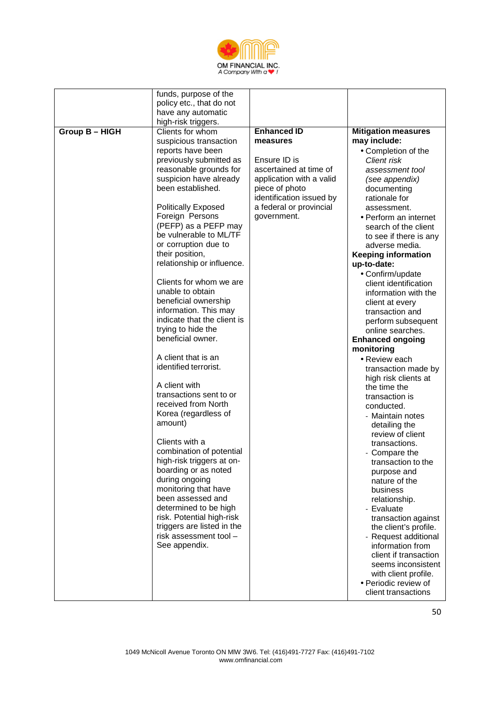

|                     | funds, purpose of the                          |                          |                                            |
|---------------------|------------------------------------------------|--------------------------|--------------------------------------------|
|                     | policy etc., that do not                       |                          |                                            |
|                     | have any automatic                             |                          |                                            |
|                     | high-risk triggers.                            |                          |                                            |
| <b>Group B-HIGH</b> | Clients for whom                               | <b>Enhanced ID</b>       | <b>Mitigation measures</b>                 |
|                     | suspicious transaction                         | measures                 | may include:                               |
|                     | reports have been                              |                          | • Completion of the                        |
|                     | previously submitted as                        | Ensure ID is             | <b>Client risk</b>                         |
|                     | reasonable grounds for                         | ascertained at time of   | assessment tool                            |
|                     | suspicion have already                         | application with a valid | (see appendix)                             |
|                     | been established.                              | piece of photo           | documenting                                |
|                     |                                                | identification issued by | rationale for                              |
|                     | <b>Politically Exposed</b>                     | a federal or provincial  | assessment.                                |
|                     | Foreign Persons<br>(PEFP) as a PEFP may        | government.              | • Perform an internet                      |
|                     | be vulnerable to ML/TF                         |                          | search of the client                       |
|                     | or corruption due to                           |                          | to see if there is any<br>adverse media.   |
|                     | their position,                                |                          | <b>Keeping information</b>                 |
|                     | relationship or influence.                     |                          | up-to-date:                                |
|                     |                                                |                          | • Confirm/update                           |
|                     | Clients for whom we are                        |                          | client identification                      |
|                     | unable to obtain                               |                          | information with the                       |
|                     | beneficial ownership                           |                          | client at every                            |
|                     | information. This may                          |                          | transaction and                            |
|                     | indicate that the client is                    |                          | perform subsequent                         |
|                     | trying to hide the                             |                          | online searches.                           |
|                     | beneficial owner.                              |                          | <b>Enhanced ongoing</b>                    |
|                     |                                                |                          | monitoring                                 |
|                     | A client that is an                            |                          | • Review each                              |
|                     | identified terrorist.                          |                          | transaction made by                        |
|                     |                                                |                          | high risk clients at                       |
|                     | A client with                                  |                          | the time the                               |
|                     | transactions sent to or<br>received from North |                          | transaction is                             |
|                     | Korea (regardless of                           |                          | conducted.                                 |
|                     | amount)                                        |                          | - Maintain notes                           |
|                     |                                                |                          | detailing the<br>review of client          |
|                     | Clients with a                                 |                          | transactions.                              |
|                     | combination of potential                       |                          | - Compare the                              |
|                     | high-risk triggers at on-                      |                          | transaction to the                         |
|                     | boarding or as noted                           |                          | purpose and                                |
|                     | during ongoing                                 |                          | nature of the                              |
|                     | monitoring that have                           |                          | business                                   |
|                     | been assessed and                              |                          | relationship.                              |
|                     | determined to be high                          |                          | - Evaluate                                 |
|                     | risk. Potential high-risk                      |                          | transaction against                        |
|                     | triggers are listed in the                     |                          | the client's profile.                      |
|                     | risk assessment tool -                         |                          | - Request additional                       |
|                     | See appendix.                                  |                          | information from                           |
|                     |                                                |                          | client if transaction                      |
|                     |                                                |                          | seems inconsistent<br>with client profile. |
|                     |                                                |                          | • Periodic review of                       |
|                     |                                                |                          | client transactions                        |
|                     |                                                |                          |                                            |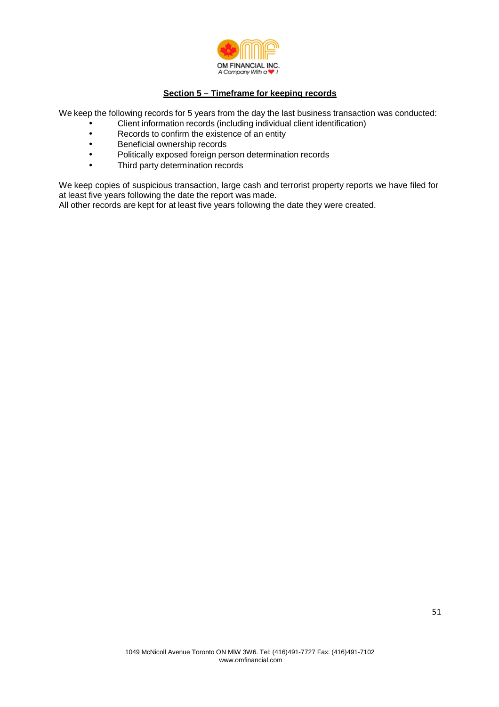

## **Section 5 – Timeframe for keeping records**

We keep the following records for 5 years from the day the last business transaction was conducted:

- Client information records (including individual client identification)
- Records to confirm the existence of an entity
- Beneficial ownership records
- Politically exposed foreign person determination records
- Third party determination records

We keep copies of suspicious transaction, large cash and terrorist property reports we have filed for at least five years following the date the report was made.

All other records are kept for at least five years following the date they were created.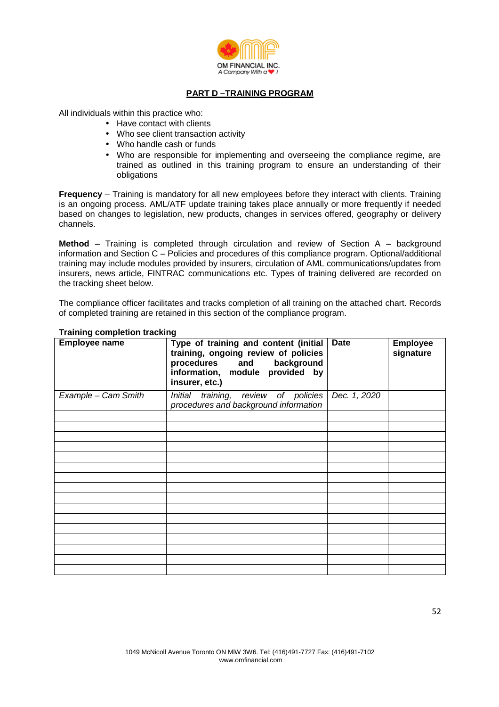

#### **PART D –TRAINING PROGRAM**

All individuals within this practice who:

- Have contact with clients
- Who see client transaction activity
- Who handle cash or funds
- Who are responsible for implementing and overseeing the compliance regime, are trained as outlined in this training program to ensure an understanding of their obligations

**Frequency** – Training is mandatory for all new employees before they interact with clients. Training is an ongoing process. AML/ATF update training takes place annually or more frequently if needed based on changes to legislation, new products, changes in services offered, geography or delivery channels.

**Method** – Training is completed through circulation and review of Section A – background information and Section C – Policies and procedures of this compliance program. Optional/additional training may include modules provided by insurers, circulation of AML communications/updates from insurers, news article, FINTRAC communications etc. Types of training delivered are recorded on the tracking sheet below.

The compliance officer facilitates and tracks completion of all training on the attached chart. Records of completed training are retained in this section of the compliance program.

| <b>Employee name</b> | Type of training and content (initial<br>training, ongoing review of policies<br>procedures and background<br>information, module provided by<br>insurer, etc.) | <b>Date</b>  | <b>Employee</b><br>signature |
|----------------------|-----------------------------------------------------------------------------------------------------------------------------------------------------------------|--------------|------------------------------|
| Example - Cam Smith  | Initial training, review of policies<br>procedures and background information                                                                                   | Dec. 1, 2020 |                              |
|                      |                                                                                                                                                                 |              |                              |
|                      |                                                                                                                                                                 |              |                              |
|                      |                                                                                                                                                                 |              |                              |
|                      |                                                                                                                                                                 |              |                              |
|                      |                                                                                                                                                                 |              |                              |
|                      |                                                                                                                                                                 |              |                              |
|                      |                                                                                                                                                                 |              |                              |
|                      |                                                                                                                                                                 |              |                              |
|                      |                                                                                                                                                                 |              |                              |
|                      |                                                                                                                                                                 |              |                              |
|                      |                                                                                                                                                                 |              |                              |
|                      |                                                                                                                                                                 |              |                              |
|                      |                                                                                                                                                                 |              |                              |
|                      |                                                                                                                                                                 |              |                              |

#### **Training completion tracking**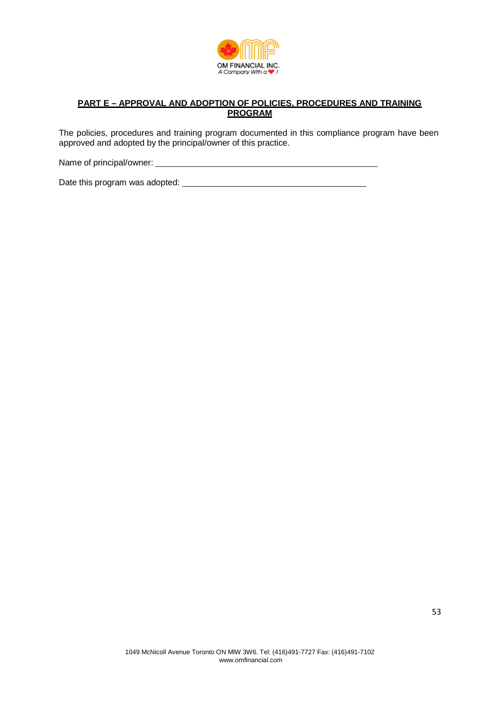

#### **PART E – APPROVAL AND ADOPTION OF POLICIES, PROCEDURES AND TRAINING PROGRAM**

The policies, procedures and training program documented in this compliance program have been approved and adopted by the principal/owner of this practice.

Name of principal/owner:

Date this program was adopted: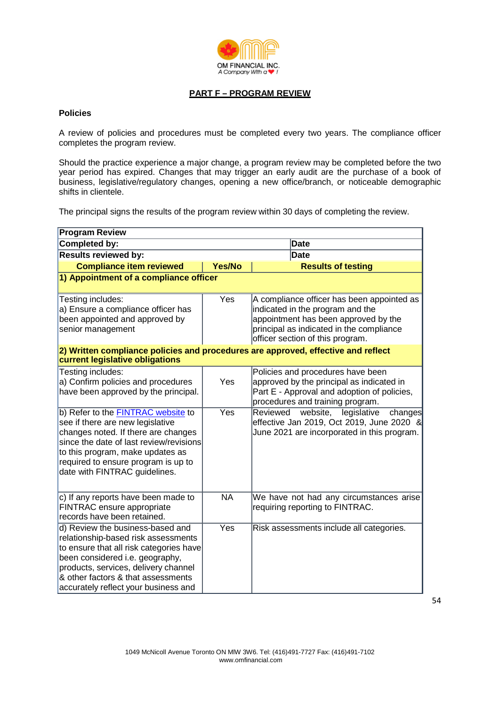

#### **PART F – PROGRAM REVIEW**

#### **Policies**

A review of policies and procedures must be completed every two years. The compliance officer completes the program review.

Should the practice experience a major change, a program review may be completed before the two year period has expired. Changes that may trigger an early audit are the purchase of a book of business, legislative/regulatory changes, opening a new office/branch, or noticeable demographic shifts in clientele.

The principal signs the results of the program review within 30 days of completing the review.

| <b>Program Review</b>                                                                                                                                                                                                                                                       |             |                                                                                                                                                                                                        |  |  |  |
|-----------------------------------------------------------------------------------------------------------------------------------------------------------------------------------------------------------------------------------------------------------------------------|-------------|--------------------------------------------------------------------------------------------------------------------------------------------------------------------------------------------------------|--|--|--|
| Completed by:                                                                                                                                                                                                                                                               | <b>Date</b> |                                                                                                                                                                                                        |  |  |  |
| <b>Results reviewed by:</b>                                                                                                                                                                                                                                                 | <b>Date</b> |                                                                                                                                                                                                        |  |  |  |
| <b>Compliance item reviewed</b>                                                                                                                                                                                                                                             | Yes/No      | <b>Results of testing</b>                                                                                                                                                                              |  |  |  |
| 1) Appointment of a compliance officer                                                                                                                                                                                                                                      |             |                                                                                                                                                                                                        |  |  |  |
| Testing includes:<br>a) Ensure a compliance officer has<br>been appointed and approved by<br>senior management                                                                                                                                                              | Yes         | A compliance officer has been appointed as<br>indicated in the program and the<br>appointment has been approved by the<br>principal as indicated in the compliance<br>officer section of this program. |  |  |  |
| 2) Written compliance policies and procedures are approved, effective and reflect<br>current legislative obligations                                                                                                                                                        |             |                                                                                                                                                                                                        |  |  |  |
| Testing includes:<br>a) Confirm policies and procedures<br>have been approved by the principal.                                                                                                                                                                             | Yes         | Policies and procedures have been<br>approved by the principal as indicated in<br>Part E - Approval and adoption of policies,<br>procedures and training program.                                      |  |  |  |
| b) Refer to the <b>FINTRAC</b> website to<br>see if there are new legislative<br>changes noted. If there are changes<br>since the date of last review/revisions<br>to this program, make updates as<br>required to ensure program is up to<br>date with FINTRAC guidelines. | Yes         | Reviewed<br>legislative<br>website,<br>changes<br>effective Jan 2019, Oct 2019, June 2020 &<br>June 2021 are incorporated in this program.                                                             |  |  |  |
| c) If any reports have been made to<br><b>FINTRAC</b> ensure appropriate<br>records have been retained.                                                                                                                                                                     | <b>NA</b>   | We have not had any circumstances arise<br>requiring reporting to FINTRAC.                                                                                                                             |  |  |  |
| d) Review the business-based and<br>relationship-based risk assessments<br>to ensure that all risk categories have<br>been considered i.e. geography,<br>products, services, delivery channel<br>& other factors & that assessments<br>accurately reflect your business and | Yes         | Risk assessments include all categories.                                                                                                                                                               |  |  |  |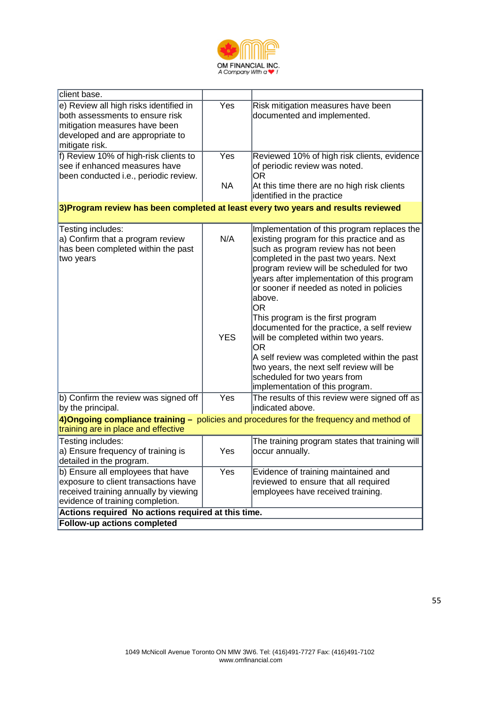

| client base.                                                                             |            |                                                                                   |  |  |  |
|------------------------------------------------------------------------------------------|------------|-----------------------------------------------------------------------------------|--|--|--|
| e) Review all high risks identified in                                                   | Yes        | Risk mitigation measures have been                                                |  |  |  |
| both assessments to ensure risk<br>mitigation measures have been                         |            | documented and implemented.                                                       |  |  |  |
| developed and are appropriate to                                                         |            |                                                                                   |  |  |  |
| mitigate risk.                                                                           |            |                                                                                   |  |  |  |
| f) Review 10% of high-risk clients to                                                    | Yes        | Reviewed 10% of high risk clients, evidence                                       |  |  |  |
| see if enhanced measures have<br>been conducted i.e., periodic review.                   |            | of periodic review was noted.<br>0R                                               |  |  |  |
|                                                                                          | <b>NA</b>  | At this time there are no high risk clients                                       |  |  |  |
|                                                                                          |            | identified in the practice                                                        |  |  |  |
| 3) Program review has been completed at least every two years and results reviewed       |            |                                                                                   |  |  |  |
| Testing includes:                                                                        |            | Implementation of this program replaces the                                       |  |  |  |
| a) Confirm that a program review                                                         | N/A        | existing program for this practice and as                                         |  |  |  |
| has been completed within the past                                                       |            | such as program review has not been                                               |  |  |  |
| two years                                                                                |            | completed in the past two years. Next<br>program review will be scheduled for two |  |  |  |
|                                                                                          |            | years after implementation of this program                                        |  |  |  |
|                                                                                          |            | or sooner if needed as noted in policies                                          |  |  |  |
|                                                                                          |            | above.                                                                            |  |  |  |
|                                                                                          |            | <b>OR</b><br>This program is the first program                                    |  |  |  |
|                                                                                          |            | documented for the practice, a self review                                        |  |  |  |
|                                                                                          | <b>YES</b> | will be completed within two years.<br>OR                                         |  |  |  |
|                                                                                          |            | A self review was completed within the past                                       |  |  |  |
|                                                                                          |            | two years, the next self review will be                                           |  |  |  |
|                                                                                          |            | scheduled for two years from<br>implementation of this program.                   |  |  |  |
| b) Confirm the review was signed off                                                     | Yes        | The results of this review were signed off as                                     |  |  |  |
| by the principal.                                                                        |            | indicated above.                                                                  |  |  |  |
| 4) Ongoing compliance training - policies and procedures for the frequency and method of |            |                                                                                   |  |  |  |
| training are in place and effective                                                      |            |                                                                                   |  |  |  |
| Testing includes:<br>a) Ensure frequency of training is                                  | Yes        | The training program states that training will<br>occur annually.                 |  |  |  |
| detailed in the program.                                                                 |            |                                                                                   |  |  |  |
| b) Ensure all employees that have                                                        | Yes        | Evidence of training maintained and                                               |  |  |  |
| exposure to client transactions have                                                     |            | reviewed to ensure that all required                                              |  |  |  |
| received training annually by viewing                                                    |            | employees have received training.                                                 |  |  |  |
| evidence of training completion.<br>Actions required No actions required at this time.   |            |                                                                                   |  |  |  |
| <b>Follow-up actions completed</b>                                                       |            |                                                                                   |  |  |  |
|                                                                                          |            |                                                                                   |  |  |  |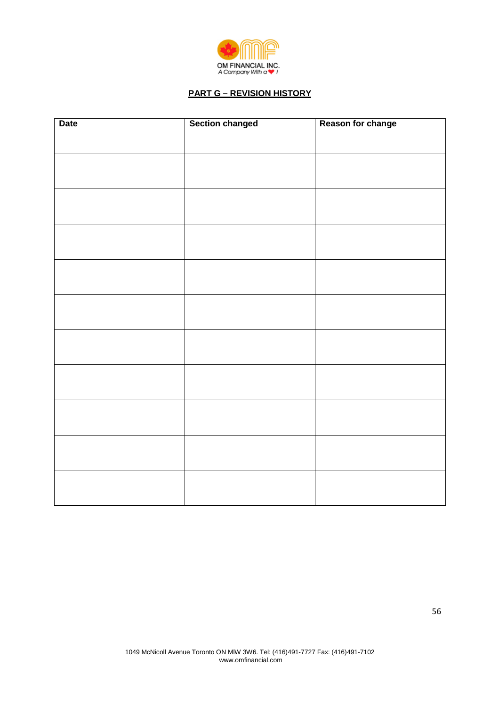

## **PART G – REVISION HISTORY**

| <b>Date</b> | <b>Section changed</b> | <b>Reason for change</b> |
|-------------|------------------------|--------------------------|
|             |                        |                          |
|             |                        |                          |
|             |                        |                          |
|             |                        |                          |
|             |                        |                          |
|             |                        |                          |
|             |                        |                          |
|             |                        |                          |
|             |                        |                          |
|             |                        |                          |
|             |                        |                          |
|             |                        |                          |
|             |                        |                          |
|             |                        |                          |
|             |                        |                          |
|             |                        |                          |
|             |                        |                          |
|             |                        |                          |
|             |                        |                          |
|             |                        |                          |
|             |                        |                          |
|             |                        |                          |
|             |                        |                          |
|             |                        |                          |
|             |                        |                          |
|             |                        |                          |
|             |                        |                          |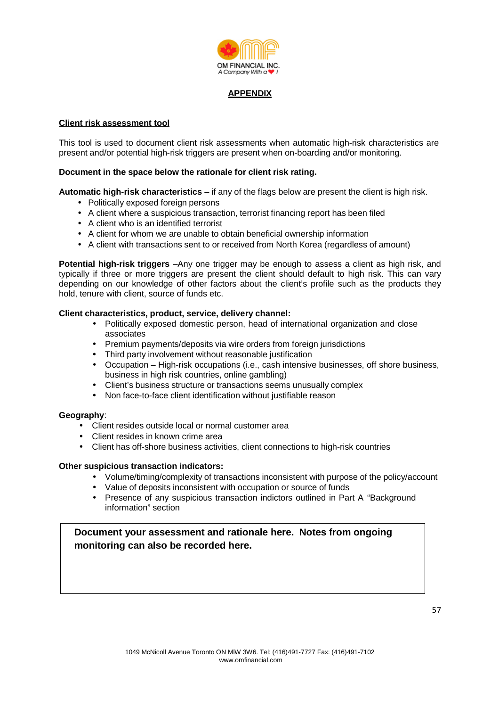

#### **APPENDIX**

#### **Client risk assessment tool**

This tool is used to document client risk assessments when automatic high-risk characteristics are present and/or potential high-risk triggers are present when on-boarding and/or monitoring.

#### **Document in the space below the rationale for client risk rating.**

#### **Automatic high-risk characteristics** – if any of the flags below are present the client is high risk.

- Politically exposed foreign persons
- A client where a suspicious transaction, terrorist financing report has been filed
- A client who is an identified terrorist
- A client for whom we are unable to obtain beneficial ownership information
- A client with transactions sent to or received from North Korea (regardless of amount)

**Potential high-risk triggers**  $-Any$  one trigger may be enough to assess a client as high risk, and typically if three or more triggers are present the client should default to high risk. This can vary depending on our knowledge of other factors about the client's profile such as the products they hold, tenure with client, source of funds etc.

#### **Client characteristics, product, service, delivery channel:**

- Politically exposed domestic person, head of international organization and close associates
- Premium payments/deposits via wire orders from foreign jurisdictions
- Third party involvement without reasonable justification
- Occupation High-risk occupations (i.e., cash intensive businesses, off shore business, business in high risk countries, online gambling)
- Client's business structure or transactions seems unusually complex
- Non face-to-face client identification without justifiable reason

#### **Geography**:

- Client resides outside local or normal customer area
- Client resides in known crime area
- Client has off-shore business activities, client connections to high-risk countries

#### **Other suspicious transaction indicators:**

- Volume/timing/complexity of transactions inconsistent with purpose of the policy/account
- Value of deposits inconsistent with occupation or source of funds
- Presence of any suspicious transaction indictors outlined in Part A "Background" information" section

## **Document your assessment and rationale here. Notes from ongoing monitoring can also be recorded here.**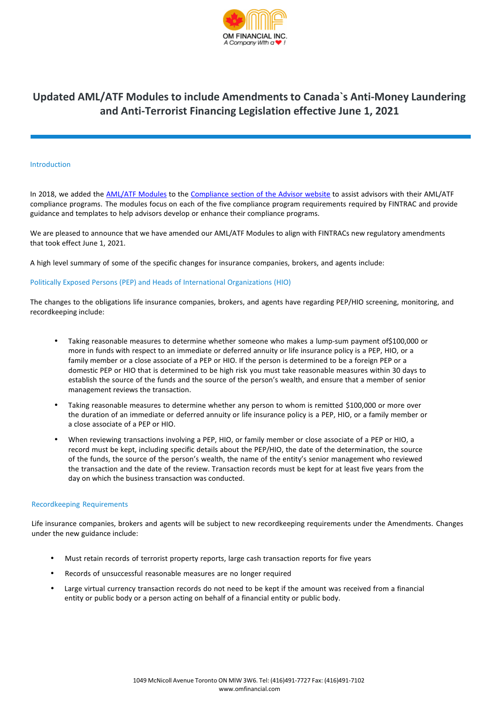

## **Updated AML/ATF Modules to include Amendments to Canada`s Anti-Money Laundering and Anti-Terrorist Financing Legislation effective June 1, 2021**

#### Introduction

In 2018, we added the AML/ATF Modules to the Compliance section of the Advisor website to assist advisors with their AML/ATF compliance programs. The modules focus on each of the five compliance program requirements required by FINTRAC and provide guidance and templates to help advisors develop or enhance their compliance programs.

We are pleased to announce that we have amended our AML/ATF Modules to align with FINTRACs new regulatory amendments that took effect June 1, 2021.

A high level summary of some of the specific changes for insurance companies, brokers, and agents include:

#### Politically Exposed Persons (PEP) and Heads of International Organizations (HIO)

The changes to the obligations life insurance companies, brokers, and agents have regarding PEP/HIO screening, monitoring, and recordkeeping include:

- Taking reasonable measures to determine whether someone who makes a lump-sum payment of\$100,000 or more in funds with respect to an immediate or deferred annuity or life insurance policy is a PEP, HIO, or a family member or a close associate of a PEP or HIO. If the person is determined to be a foreign PEP or a domestic PEP or HIO that is determined to be high risk you must take reasonable measures within 30 days to establish the source of the funds and the source of the person's wealth, and ensure that a member of senior management reviews the transaction.
- Taking reasonable measures to determine whether any person to whom is remitted \$100,000 or more over the duration of an immediate or deferred annuity or life insurance policy is a PEP, HIO, or a family member or a close associate of a PEP or HIO.
- When reviewing transactions involving a PEP, HIO, or family member or close associate of a PEP or HIO, a record must be kept, including specific details about the PEP/HIO, the date of the determination, the source of the funds, the source of the person's wealth, the name of the entity's senior management who reviewed the transaction and the date of the review. Transaction records must be kept for at least five years from the day on which the business transaction was conducted.

#### Recordkeeping Requirements

Life insurance companies, brokers and agents will be subject to new recordkeeping requirements under the Amendments. Changes under the new guidance include:

- Must retain records of terrorist property reports, large cash transaction reports for five years
- Records of unsuccessful reasonable measures are no longer required
- Large virtual currency transaction records do not need to be kept if the amount was received from a financial entity or public body or a person acting on behalf of a financial entity or public body.